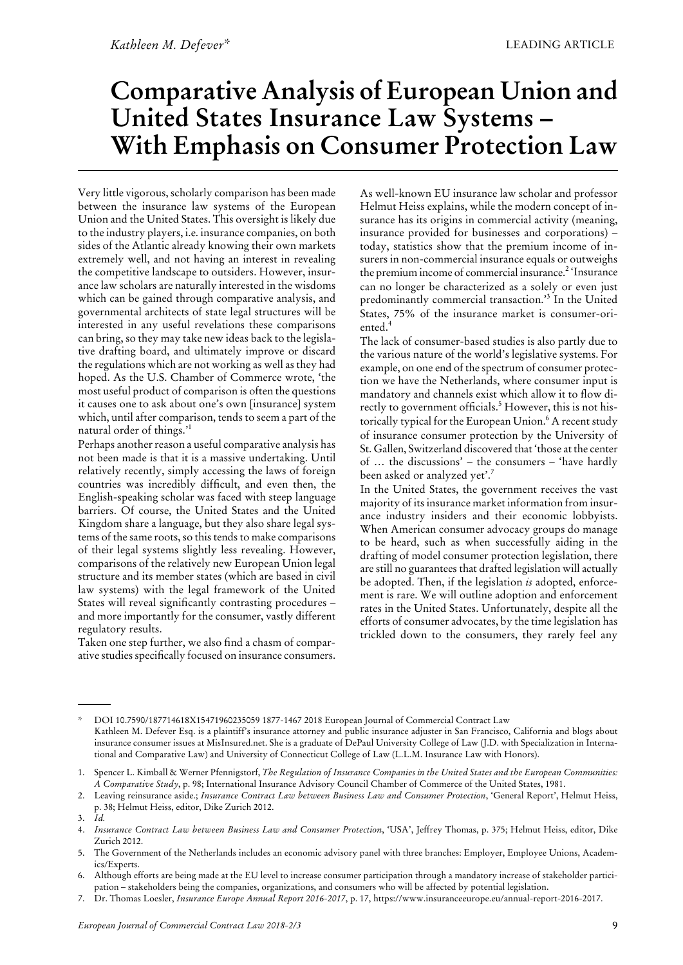# **Comparative Analysis of European Union and United States Insurance Law Systems – With Emphasis on Consumer Protection Law**

Very little vigorous, scholarly comparison has been made between the insurance law systems of the European Union and the United States. This oversight is likely due to the industry players, i.e. insurance companies, on both sides of the Atlantic already knowing their own markets extremely well, and not having an interest in revealing the competitive landscape to outsiders. However, insurance law scholars are naturally interested in the wisdoms which can be gained through comparative analysis, and governmental architects of state legal structures will be interested in any useful revelations these comparisons can bring, so they may take new ideas back to the legislative drafting board, and ultimately improve or discard the regulations which are not working as well asthey had hoped. As the U.S. Chamber of Commerce wrote, 'the most useful product of comparison is often the questions it causes one to ask about one's own [insurance] system which, until after comparison, tends to seem a part of the natural order of things.'<sup>1</sup>

Perhaps another reason a useful comparative analysis has not been made is that it is a massive undertaking. Until relatively recently, simply accessing the laws of foreign countries was incredibly difficult, and even then, the English-speaking scholar was faced with steep language barriers. Of course, the United States and the United Kingdom share a language, but they also share legal systems of the same roots, so this tends to make comparisons of their legal systems slightly less revealing. However, comparisons of the relatively new European Union legal structure and its member states (which are based in civil law systems) with the legal framework of the United States will reveal signifcantly contrasting procedures – and more importantly for the consumer, vastly different regulatory results.

Taken one step further, we also fnd a chasm of comparative studies specifically focused on insurance consumers. As well-known EU insurance law scholar and professor Helmut Heiss explains, while the modern concept of insurance has its origins in commercial activity (meaning, insurance provided for businesses and corporations) – today, statistics show that the premium income of insurers in non-commercial insurance equals or outweighs the premium income of commercial insurance.<sup>2</sup> 'Insurance can no longer be characterized as a solely or even just predominantly commercial transaction.' <sup>3</sup> In the United States, 75% of the insurance market is consumer-oriented.<sup>4</sup>

The lack of consumer-based studies is also partly due to the various nature of the world's legislative systems. For example, on one end of the spectrum of consumer protection we have the Netherlands, where consumer input is mandatory and channels exist which allow it to flow directly to government officials.<sup>5</sup> However, this is not historically typical for the European Union.<sup>6</sup> A recent study of insurance consumer protection by the University of St. Gallen, Switzerland discovered that 'those at the center of  $\ldots$  the discussions' – the consumers – 'have hardly been asked or analyzed yet'. 7

In the United States, the government receives the vast majority of its insurance market information from insurance industry insiders and their economic lobbyists. When American consumer advocacy groups do manage to be heard, such as when successfully aiding in the drafting of model consumer protection legislation, there are still no guarantees that drafted legislation will actually be adopted. Then, if the legislation *is* adopted, enforcement is rare. We will outline adoption and enforcement rates in the United States. Unfortunately, despite all the efforts of consumer advocates, by the time legislation has trickled down to the consumers, they rarely feel any

DOI 10.7590/187714618X15471960235059 1877-1467 2018 European Journal of Commercial Contract Law Kathleen M. Defever Esq. is a plaintiff's insurance attorney and public insurance adjuster in San Francisco, California and blogs about insurance consumer issues at MisInsured.net. She is a graduate of DePaul University College of Law (J.D. with Specialization in International and Comparative Law) and University of Connecticut College of Law (L.L.M. Insurance Law with Honors).

Spencer L. Kimball & Werner Pfennigstorf, *The Regulation of Insurance Companies in the United States and the European Communities:* 1. *A Comparative Study*, p. 98; International Insurance Advisory Council Chamber of Commerce of the United States, 1981.

Leaving reinsurance aside.; *Insurance Contract Law between Business Law and Consumer Protection*, 'General Report', Helmut Heiss, 2. p. 38; Helmut Heiss, editor, Dike Zurich 2012.

<sup>3.</sup> *Id.*

*Insurance Contract Law between Business Law and Consumer Protection*, 'USA', Jeffrey Thomas, p. 375; Helmut Heiss, editor, Dike Zurich 2012. 4.

The Government of the Netherlands includes an economic advisory panel with three branches: Employer, Employee Unions, Academics/Experts. 5.

Although efforts are being made at the EU level to increase consumer participation through a mandatory increase of stakeholder partici-6.

pation –stakeholders being the companies, organizations, and consumers who will be affected by potential legislation.

<sup>7.</sup> Dr. Thomas Loesler, *Insurance Europe Annual Report 2016-2017*, p. 17, https://www.insuranceeurope.eu/annual-report-2016-2017.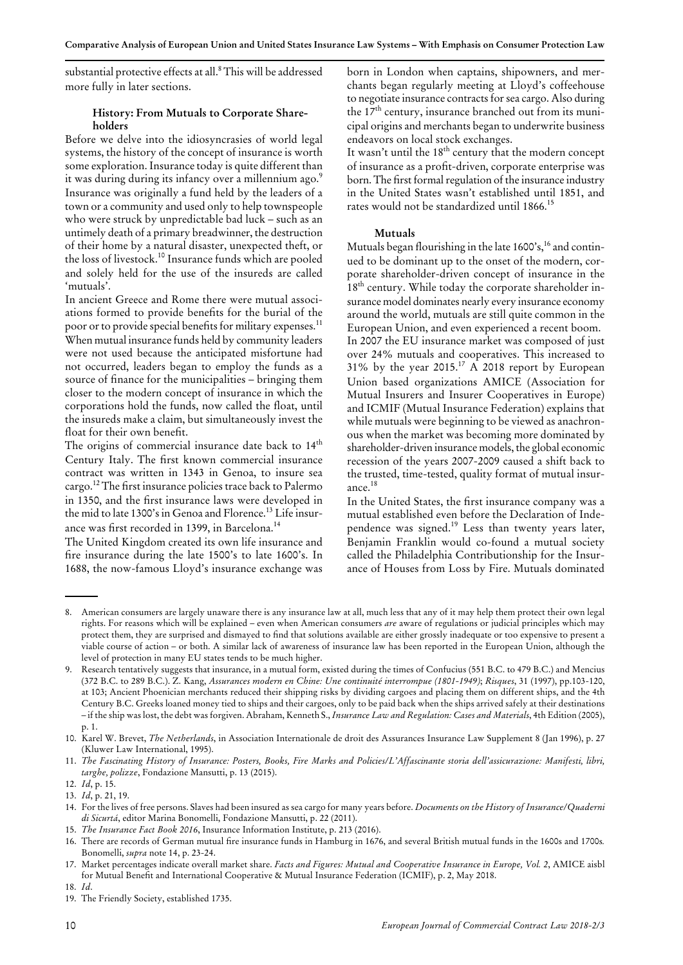substantial protective effects at all.<sup>8</sup> This will be addressed more fully in later sections.

## **History: From Mutuals to Corporate Shareholders**

Before we delve into the idiosyncrasies of world legal systems, the history of the concept of insurance is worth some exploration. Insurance today is quite different than it was during during its infancy over a millennium ago.<sup>9</sup> Insurance was originally a fund held by the leaders of a town or a community and used only to help townspeople who were struck by unpredictable bad luck - such as an untimely death of a primary breadwinner, the destruction of their home by a natural disaster, unexpected theft, or the loss of livestock.<sup>10</sup> Insurance funds which are pooled and solely held for the use of the insureds are called 'mutuals'.

In ancient Greece and Rome there were mutual associations formed to provide benefts for the burial of the poor or to provide special benefits for military expenses.<sup>11</sup> When mutual insurance funds held by community leaders were not used because the anticipated misfortune had not occurred, leaders began to employ the funds as a source of finance for the municipalities – bringing them closer to the modern concept of insurance in which the corporations hold the funds, now called the foat, until the insureds make a claim, but simultaneously invest the float for their own benefit.

The origins of commercial insurance date back to 14<sup>th</sup> Century Italy. The frst known commercial insurance contract was written in 1343 in Genoa, to insure sea cargo.<sup>12</sup> The first insurance policies trace back to Palermo in 1350, and the frst insurance laws were developed in the mid to late 1300's in Genoa and Florence.<sup>13</sup> Life insurance was first recorded in 1399, in Barcelona.<sup>14</sup>

The United Kingdom created its own life insurance and fre insurance during the late 1500's to late 1600's. In 1688, the now-famous Lloyd's insurance exchange was born in London when captains, shipowners, and merchants began regularly meeting at Lloyd's coffeehouse to negotiate insurance contracts for sea cargo. Also during the  $17<sup>th</sup>$  century, insurance branched out from its municipal origins and merchants began to underwrite business endeavors on local stock exchanges.

It wasn't until the 18<sup>th</sup> century that the modern concept of insurance as a proft-driven, corporate enterprise was born. The first formal regulation of the insurance industry in the United States wasn't established until 1851, and rates would not be standardized until 1866.<sup>15</sup>

## **Mutuals**

Mutuals began flourishing in the late 1600's,<sup>16</sup> and continued to be dominant up to the onset of the modern, corporate shareholder-driven concept of insurance in the 18<sup>th</sup> century. While today the corporate shareholder insurance model dominates nearly every insurance economy around the world, mutuals are still quite common in the European Union, and even experienced a recent boom. In 2007 the EU insurance market was composed of just over 24% mutuals and cooperatives. This increased to 31% by the year  $2015$ .<sup>17</sup> A 2018 report by European Union based organizations AMICE (Association for Mutual Insurers and Insurer Cooperatives in Europe) and ICMIF (Mutual Insurance Federation) explains that while mutuals were beginning to be viewed as anachronous when the market was becoming more dominated by shareholder-driven insurance models, the global economic recession of the years 2007-2009 caused a shift back to the trusted, time-tested, quality format of mutual insurance.18

In the United States, the frst insurance company was a mutual established even before the Declaration of Independence was signed.<sup>19</sup> Less than twenty years later, Benjamin Franklin would co-found a mutual society called the Philadelphia Contributionship for the Insurance of Houses from Loss by Fire. Mutuals dominated

American consumers are largely unaware there is any insurance law at all, much less that any of it may help them protect their own legal 8. rights. For reasons which will be explained –even when American consumers *are* aware of regulations or judicial principles which may protect them, they are surprised and dismayed to fnd that solutions available are either grossly inadequate or too expensive to present a viable course of action –or both. A similar lack of awareness of insurance law has been reported in the European Union, although the level of protection in many EU states tends to be much higher.

Research tentatively suggests that insurance, in a mutual form, existed during the times of Confucius (551 B.C. to 479 B.C.) and Mencius 9. (372 B.C. to 289 B.C.). Z. Kang, *Assurances modern en Chine: Une continuité interrompue (1801-1949)*; *Risques*, 31 (1997), pp.103-120, at 103; Ancient Phoenician merchants reduced their shipping risks by dividing cargoes and placing them on different ships, and the 4th Century B.C. Greeks loaned money tied to ships and their cargoes, only to be paid back when the ships arrived safely at their destinations –if the ship waslost, the debt wasforgiven. Abraham, Kenneth S., *Insurance Law and Regulation: Cases and Materials*, 4th Edition (2005), p. 1.

<sup>10.</sup> Karel W. Brevet, *The Netherlands*, in Association Internationale de droit des Assurances Insurance Law Supplement 8 (Jan 1996), p. 27 (Kluwer Law International, 1995).

<sup>11.</sup> The Fascinating History of Insurance: Posters, Books, Fire Marks and Policies/L'Affascinante storia dell'assicurazione: Manifesti, libri, *targhe, polizze*, Fondazione Mansutti, p. 13 (2015).

<sup>12.</sup> *Id*, p. 15.

<sup>13.</sup> *Id*, p. 21, 19.

For the lives of free persons. Slaves had been insured as sea cargo for many years before. *Documents on the History of Insurance/Quaderni* 14. *di Sicurtá*, editor Marina Bonomelli, Fondazione Mansutti, p. 22 (2011).

<sup>15.</sup> *The Insurance Fact Book 2016*, Insurance Information Institute, p. 213 (2016).

There are records of German mutual fre insurance funds in Hamburg in 1676, and several British mutual funds in the 1600s and 1700s*.* 16. Bonomelli, *supra* note 14, p. 23-24.

Market percentages indicate overall market share. *Facts and Figures: Mutual and Cooperative Insurance in Europe, Vol. 2*, AMICE aisbl 17. for Mutual Beneft and International Cooperative & Mutual Insurance Federation (ICMIF), p. 2, May 2018.

<sup>18.</sup> *Id*.

<sup>19.</sup> The Friendly Society, established 1735.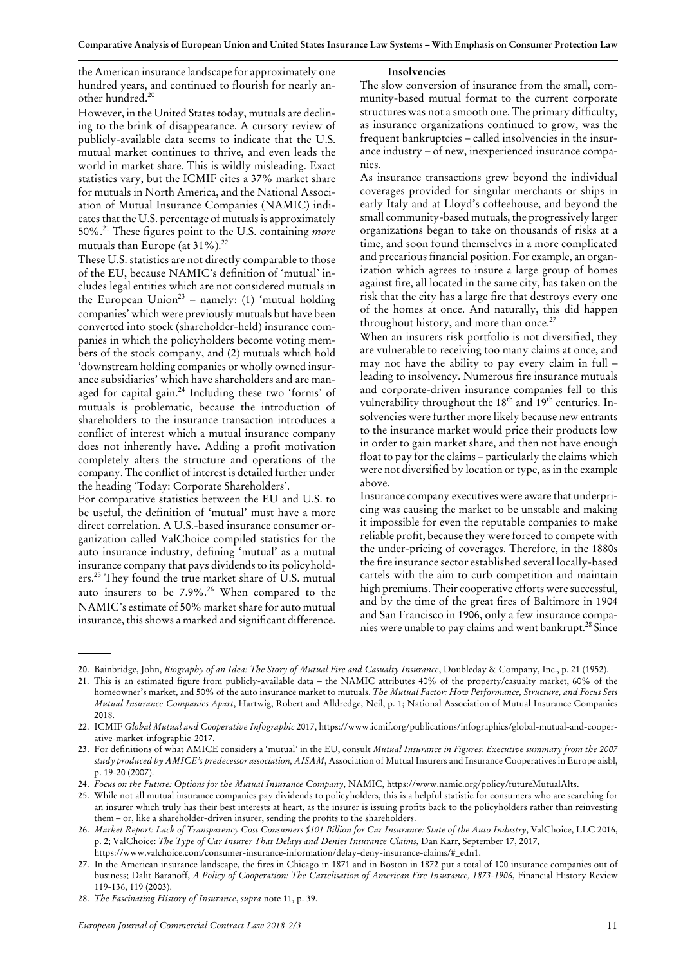Comparative Analysis of European Union and United States Insurance Law Systems - With Emphasis on Consumer Protection Law

the American insurance landscape for approximately one hundred years, and continued to flourish for nearly another hundred.<sup>20</sup>

#### **Insolvencies**

However, in the United States today, mutuals are declining to the brink of disappearance. A cursory review of publicly-available data seems to indicate that the U.S. mutual market continues to thrive, and even leads the world in market share. This is wildly misleading. Exact statistics vary, but the ICMIF cites a 37% market share for mutuals in North America, and the National Association of Mutual Insurance Companies (NAMIC) indicates that the U.S. percentage of mutuals is approximately 50%.21 These fgures point to the U.S. containing *more* mutuals than Europe (at 31%).<sup>22</sup>

These U.S. statistics are not directly comparable to those of the EU, because NAMIC's defnition of 'mutual' includes legal entities which are not considered mutuals in the European Union<sup>23</sup> – namely: (1) 'mutual holding companies' which were previously mutuals but have been converted into stock (shareholder-held) insurance companies in which the policyholders become voting members of the stock company, and (2) mutuals which hold 'downstream holding companies or wholly owned insurance subsidiaries' which have shareholders and are managed for capital gain.<sup>24</sup> Including these two 'forms' of mutuals is problematic, because the introduction of shareholders to the insurance transaction introduces a confict of interest which a mutual insurance company does not inherently have. Adding a proft motivation completely alters the structure and operations of the company. The confict of interest is detailed further under the heading 'Today: Corporate Shareholders'.

For comparative statistics between the EU and U.S. to be useful, the defnition of 'mutual' must have a more direct correlation. A U.S.-based insurance consumer organization called ValChoice compiled statistics for the auto insurance industry, defning 'mutual' as a mutual insurance company that pays dividends to its policyholders.<sup>25</sup> They found the true market share of U.S. mutual auto insurers to be 7.9%.<sup>26</sup> When compared to the NAMIC's estimate of 50% market share for auto mutual insurance, this shows a marked and significant difference.

The slow conversion of insurance from the small, community-based mutual format to the current corporate structures was not a smooth one. The primary difficulty, as insurance organizations continued to grow, was the frequent bankruptcies –called insolvencies in the insurance industry – of new, inexperienced insurance companies.

As insurance transactions grew beyond the individual coverages provided for singular merchants or ships in early Italy and at Lloyd's coffeehouse, and beyond the small community-based mutuals, the progressively larger organizations began to take on thousands of risks at a time, and soon found themselves in a more complicated and precarious fnancial position. For example, an organization which agrees to insure a large group of homes against fre, all located in the same city, has taken on the risk that the city has a large fre that destroys every one of the homes at once. And naturally, this did happen throughout history, and more than once.<sup>27</sup>

When an insurers risk portfolio is not diversifed, they are vulnerable to receiving too many claims at once, and may not have the ability to pay every claim in full – leading to insolvency. Numerous fre insurance mutuals and corporate-driven insurance companies fell to this vulnerability throughout the  $18<sup>th</sup>$  and  $19<sup>th</sup>$  centuries. Insolvencies were further more likely because new entrants to the insurance market would price their products low in order to gain market share, and then not have enough float to pay for the claims – particularly the claims which were not diversified by location or type, as in the example above.

Insurance company executives were aware that underpricing was causing the market to be unstable and making it impossible for even the reputable companies to make reliable proft, because they were forced to compete with the under-pricing of coverages. Therefore, in the 1880s the fre insurance sector established several locally-based cartels with the aim to curb competition and maintain high premiums. Their cooperative efforts were successful, and by the time of the great fres of Baltimore in 1904 and San Francisco in 1906, only a few insurance companies were unable to pay claims and went bankrupt.<sup>28</sup> Since

<sup>20.</sup> Bainbridge, John, *Biography of an Idea: The Story of Mutual Fire and Casualty Insurance*, Doubleday & Company, Inc., p. 21 (1952).

<sup>21.</sup> This is an estimated figure from publicly-available data – the NAMIC attributes 40% of the property/casualty market, 60% of the homeowner's market, and 50% of the auto insurance market to mutuals. *The Mutual Factor: How Performance, Structure, and Focus Sets Mutual Insurance Companies Apart*, Hartwig, Robert and Alldredge, Neil, p. 1; National Association of Mutual Insurance Companies 2018.

ICMIF *Global Mutual and Cooperative Infographic* 2017, https://www.icmif.org/publications/infographics/global-mutual-and-cooper-22. ative-market-infographic-2017.

For defnitions of what AMICE considers a 'mutual' in the EU, consult *Mutual Insurance in Figures: Executive summary from the 2007* 23. *study produced by AMICE's predecessor association, AISAM*, Association of Mutual Insurers and Insurance Cooperatives in Europe aisbl, p. 19-20 (2007).

<sup>24.</sup> *Focus on the Future: Options for the Mutual Insurance Company*, NAMIC, https://www.namic.org/policy/futureMutualAlts.

<sup>25.</sup> While not all mutual insurance companies pay dividends to policyholders, this is a helpful statistic for consumers who are searching for an insurer which truly has their best interests at heart, as the insurer is issuing profts back to the policyholders rather than reinvesting them - or, like a shareholder-driven insurer, sending the profits to the shareholders.

<sup>26.</sup> Market Report: Lack of Transparency Cost Consumers \$101 Billion for Car Insurance: State of the Auto Industry, ValChoice, LLC 2016, p. 2; ValChoice: *The Type of Car Insurer That Delays and Denies Insurance Claims*, Dan Karr, September 17, 2017, https://www.valchoice.com/consumer-insurance-information/delay-deny-insurance-claims/#\_edn1.

<sup>27.</sup> In the American insurance landscape, the fires in Chicago in 1871 and in Boston in 1872 put a total of 100 insurance companies out of business; Dalit Baranoff, *A Policy of Cooperation: The Cartelisation of American Fire Insurance, 1873-1906*, Financial History Review 119-136, 119 (2003).

<sup>28.</sup> *The Fascinating History of Insurance*, *supra* note 11, p. 39.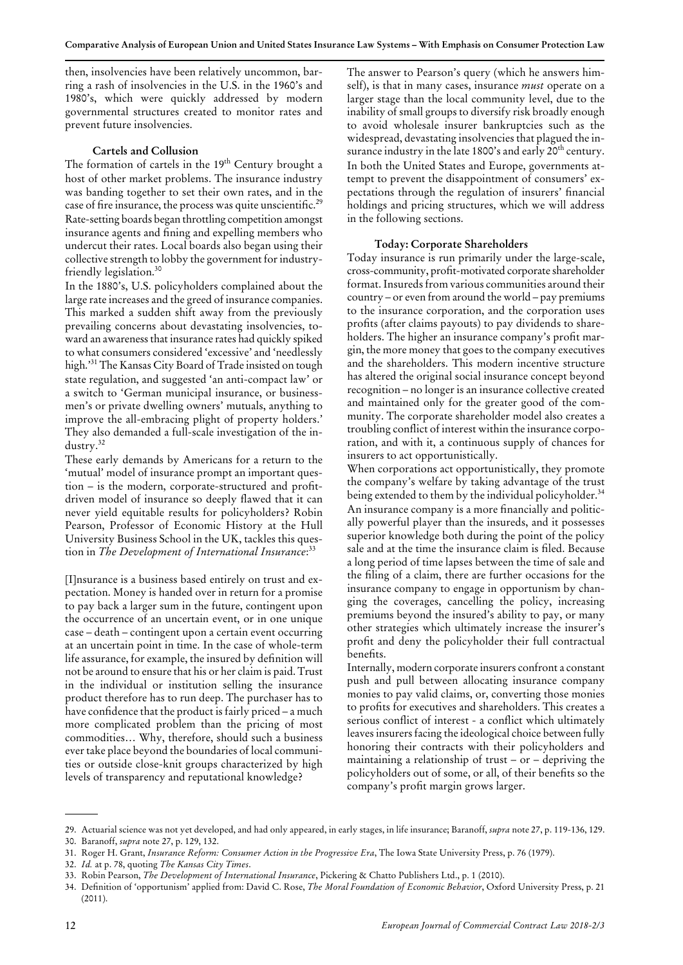then, insolvencies have been relatively uncommon, barring a rash of insolvencies in the U.S. in the 1960's and 1980's, which were quickly addressed by modern governmental structures created to monitor rates and prevent future insolvencies.

## **Cartels and Collusion**

The formation of cartels in the 19<sup>th</sup> Century brought a host of other market problems. The insurance industry was banding together to set their own rates, and in the case of fire insurance, the process was quite unscientific.<sup>29</sup> Rate-setting boards began throttling competition amongst insurance agents and fning and expelling members who undercut their rates. Local boards also began using their collective strength to lobby the government for industryfriendly legislation.30

In the 1880's, U.S. policyholders complained about the large rate increases and the greed of insurance companies. This marked a sudden shift away from the previously prevailing concerns about devastating insolvencies, toward an awareness that insurance rates had quickly spiked to what consumers considered 'excessive' and 'needlessly high.' <sup>31</sup> The Kansas City Board of Trade insisted on tough state regulation, and suggested 'an anti-compact law' or a switch to 'German municipal insurance, or businessmen's or private dwelling owners' mutuals, anything to improve the all-embracing plight of property holders.' They also demanded a full-scale investigation of the industry.<sup>32</sup>

These early demands by Americans for a return to the 'mutual' model of insurance prompt an important question – is the modern, corporate-structured and profitdriven model of insurance so deeply fawed that it can never yield equitable results for policyholders? Robin Pearson, Professor of Economic History at the Hull University Business School in the UK, tackles this question in *The Development of International Insurance*: 33

[I]nsurance is a business based entirely on trust and expectation. Money is handed over in return for a promise to pay back a larger sum in the future, contingent upon the occurrence of an uncertain event, or in one unique case –death –contingent upon a certain event occurring at an uncertain point in time. In the case of whole-term life assurance, for example, the insured by defnition will not be around to ensure that his or her claim is paid. Trust in the individual or institution selling the insurance product therefore has to run deep. The purchaser has to have confidence that the product is fairly priced – a much more complicated problem than the pricing of most commodities… Why, therefore, should such a business ever take place beyond the boundaries of local communities or outside close-knit groups characterized by high levels of transparency and reputational knowledge?

The answer to Pearson's query (which he answers himself), is that in many cases, insurance *must* operate on a larger stage than the local community level, due to the inability of small groups to diversify risk broadly enough to avoid wholesale insurer bankruptcies such as the widespread, devastating insolvencies that plagued the insurance industry in the late 1800's and early 20<sup>th</sup> century. In both the United States and Europe, governments attempt to prevent the disappointment of consumers' expectations through the regulation of insurers' fnancial holdings and pricing structures, which we will addressin the following sections.

#### **Today: Corporate Shareholders**

Today insurance is run primarily under the large-scale, cross-community, proft-motivated corporate shareholder format. Insureds from various communities around their  $country - or even from around the world - pay premiums$ to the insurance corporation, and the corporation uses profts (after claims payouts) to pay dividends to shareholders. The higher an insurance company's profit margin, the more money that goesto the company executives and the shareholders. This modern incentive structure has altered the original social insurance concept beyond recognition –no longer is an insurance collective created and maintained only for the greater good of the community. The corporate shareholder model also creates a troubling confict of interest within the insurance corporation, and with it, a continuous supply of chances for insurers to act opportunistically.

When corporations act opportunistically, they promote the company's welfare by taking advantage of the trust being extended to them by the individual policyholder.<sup>34</sup> An insurance company is a more fnancially and politically powerful player than the insureds, and it possesses superior knowledge both during the point of the policy sale and at the time the insurance claim is fled. Because a long period of time lapses between the time of sale and the fling of a claim, there are further occasions for the insurance company to engage in opportunism by changing the coverages, cancelling the policy, increasing premiums beyond the insured's ability to pay, or many other strategies which ultimately increase the insurer's proft and deny the policyholder their full contractual benefts.

Internally, modern corporate insurers confront a constant push and pull between allocating insurance company monies to pay valid claims, or, converting those monies to profts for executives and shareholders. This creates a serious confict of interest - a confict which ultimately leaves insurers facing the ideological choice between fully honoring their contracts with their policyholders and maintaining a relationship of trust  $-$  or  $-$  depriving the policyholders out of some, or all, of their benefts so the company's proft margin grows larger.

32. *Id.* at p. 78, quoting *The Kansas City Times*.

<sup>29.</sup> Actuarial science was not yet developed, and had only appeared, in early stages, in life insurance; Baranoff, *supra* note 27, p. 119-136, 129.

<sup>30.</sup> Baranoff, *supra* note 27, p. 129, 132. 31. Roger H. Grant, *Insurance Reform: Consumer Action in the Progressive Era*, The Iowa State University Press, p. 76 (1979).

<sup>33.</sup> Robin Pearson, *The Development of International Insurance*, Pickering & Chatto Publishers Ltd., p. 1 (2010).

Defnition of 'opportunism' applied from: David C. Rose, *The Moral Foundation of Economic Behavior*, Oxford University Press, p. 21 34.  $(2011).$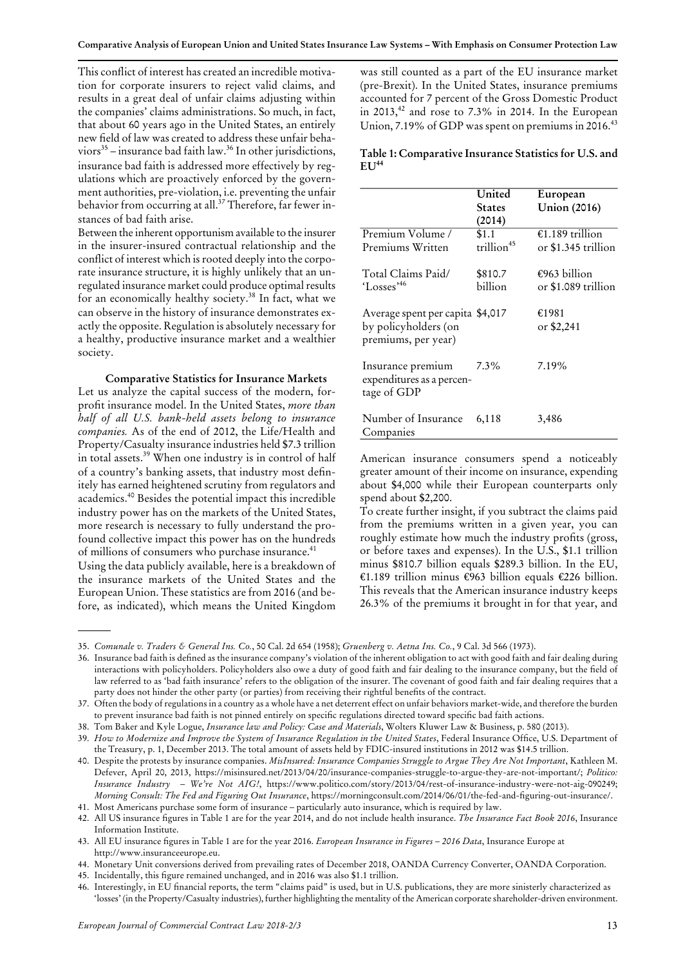This confict of interest has created an incredible motivation for corporate insurers to reject valid claims, and results in a great deal of unfair claims adjusting within the companies' claims administrations. So much, in fact, that about 60 years ago in the United States, an entirely new field of law was created to address these unfair behaviors $35$  – insurance bad faith law.<sup>36</sup> In other jurisdictions, insurance bad faith is addressed more effectively by regulations which are proactively enforced by the government authorities, pre-violation, i.e. preventing the unfair behavior from occurring at all.<sup>37</sup> Therefore, far fewer instances of bad faith arise.

Between the inherent opportunism available to the insurer in the insurer-insured contractual relationship and the conflict of interest which is rooted deeply into the corporate insurance structure, it is highly unlikely that an unregulated insurance market could produce optimal results for an economically healthy society.<sup>38</sup> In fact, what we can observe in the history of insurance demonstrates exactly the opposite. Regulation is absolutely necessary for a healthy, productive insurance market and a wealthier society.

#### **Comparative Statistics for Insurance Markets**

Let us analyze the capital success of the modern, forproft insurance model. In the United States, *more than half of all U.S. bank-held assets belong to insurance companies.* As of the end of 2012, the Life/Health and Property/Casualty insurance industries held \$7.3 trillion in total assets.<sup>39</sup> When one industry is in control of half of a country's banking assets, that industry most defnitely has earned heightened scrutiny from regulators and academics.<sup>40</sup> Besides the potential impact this incredible industry power has on the markets of the United States, more research is necessary to fully understand the profound collective impact this power has on the hundreds of millions of consumers who purchase insurance.<sup>41</sup>

Using the data publicly available, here is a breakdown of the insurance markets of the United States and the European Union. These statistics are from 2016 (and before, as indicated), which means the United Kingdom

was still counted as a part of the EU insurance market (pre-Brexit). In the United States, insurance premiums accounted for 7 percent of the Gross Domestic Product in 2013, $^{42}$  and rose to 7.3% in 2014. In the European Union, 7.19% of GDP was spent on premiums in 2016. $43$ 

**Table 1: Comparative Insurance Statisticsfor U.S. and**  $EU<sup>44</sup>$ 

|                                                                                 | United<br><b>States</b><br>(2014) | European<br><b>Union</b> (2016)        |
|---------------------------------------------------------------------------------|-----------------------------------|----------------------------------------|
| Premium Volume /<br>Premiums Written                                            | \$1.1<br>trillion <sup>45</sup>   | €1.189 trillion<br>or \$1.345 trillion |
| Total Claims Paid/<br>'Losses' <sup>46</sup>                                    | \$810.7<br>billion                | €963 billion<br>or \$1.089 trillion    |
| Average spent per capita \$4,017<br>by policyholders (on<br>premiums, per year) |                                   | €1981<br>or \$2,241                    |
| Insurance premium<br>expenditures as a percen-<br>tage of GDP                   | $7.3\%$                           | 7.19%                                  |
| Number of Insurance<br>Companies                                                | 6,118                             | 3,486                                  |

American insurance consumers spend a noticeably greater amount of their income on insurance, expending about \$4,000 while their European counterparts only spend about \$2,200.

To create further insight, if you subtract the claims paid from the premiums written in a given year, you can roughly estimate how much the industry profts (gross, or before taxes and expenses). In the U.S., \$1.1 trillion minus \$810.7 billion equals \$289.3 billion. In the EU, €1.189 trillion minus €963 billion equals €226 billion. This reveals that the American insurance industry keeps 26.3% of the premiums it brought in for that year, and

<sup>35.</sup> *Comunale v. Traders & General Ins. Co.*, 50 Cal. 2d 654 (1958); *Gruenberg v. Aetna Ins. Co.*, 9 Cal. 3d 566 (1973).

Insurance bad faith is defned as the insurance company's violation of the inherent obligation to act with good faith and fair dealing during 36. interactions with policyholders. Policyholders also owe a duty of good faith and fair dealing to the insurance company, but the feld of law referred to as 'bad faith insurance' refers to the obligation of the insurer. The covenant of good faith and fair dealing requires that a party does not hinder the other party (or parties) from receiving their rightful benefts of the contract.

<sup>37.</sup> Often the body of regulations in a country as a whole have a net deterrent effect on unfair behaviors market-wide, and therefore the burden to prevent insurance bad faith is not pinned entirely on specifc regulations directed toward specifc bad faith actions.

<sup>38.</sup> Tom Baker and Kyle Logue, *Insurance law and Policy: Case and Materials*, Wolters Kluwer Law & Business, p. 580 (2013).

<sup>39.</sup> How to Modernize and Improve the System of Insurance Regulation in the United States, Federal Insurance Office, U.S. Department of the Treasury, p. 1, December 2013. The total amount of assets held by FDIC-insured institutions in 2012 was \$14.5 trillion.

Despite the protests by insurance companies. *MisInsured: Insurance Companies Struggle to Argue They Are Not Important*, Kathleen M. 40. Defever, April 20, 2013, https://misinsured.net/2013/04/20/insurance-companies-struggle-to-argue-they-are-not-important/; *Politico: Insurance Industry – We're Not AIG!*, https://www.politico.com/story/2013/04/rest-of-insurance-industry-were-not-aig-090249; *Morning Consult: The Fed and Figuring Out Insurance*, https://morningconsult.com/2014/06/01/the-fed-and-fguring-out-insurance/. 41. Most Americans purchase some form of insurance –particularly auto insurance, which is required by law.

All US insurance fgures in Table 1 are for the year 2014, and do not include health insurance. *The Insurance Fact Book 2016*, Insurance 42. Information Institute.

<sup>43.</sup> All EU insurance fgures in Table 1 are for the year 2016. *European Insurance in Figures – 2016 Data*, Insurance Europe at http://www.insuranceeurope.eu.

<sup>44.</sup> Monetary Unit conversions derived from prevailing rates of December 2018, OANDA Currency Converter, OANDA Corporation.

<sup>45.</sup> Incidentally, this fgure remained unchanged, and in 2016 was also \$1.1 trillion.

Interestingly, in EU fnancial reports, the term "claims paid"is used, but in U.S. publications, they are more sinisterly characterized as 46. 'losses' (in the Property/Casualty industries), further highlighting the mentality of the American corporate shareholder-driven environment.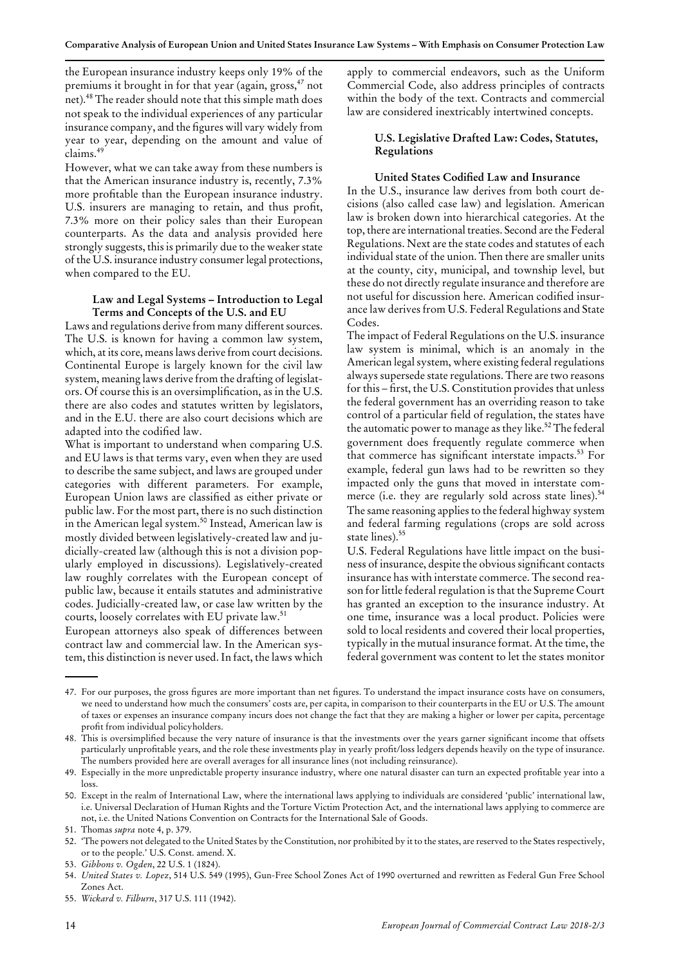the European insurance industry keeps only 19% of the premiums it brought in for that year (again, gross,<sup>47</sup> not net).<sup>48</sup> The reader should note that this simple math does not speak to the individual experiences of any particular insurance company, and the fgures will vary widely from year to year, depending on the amount and value of claims.<sup>49</sup>

However, what we can take away from these numbers is that the American insurance industry is, recently, 7.3% more proftable than the European insurance industry. U.S. insurers are managing to retain, and thus proft, 7.3% more on their policy sales than their European counterparts. As the data and analysis provided here strongly suggests, this is primarily due to the weaker state of the U.S. insurance industry consumerlegal protections, when compared to the EU.

### **Law and Legal Systems – Introduction to Legal Terms and Concepts of the U.S. and EU**

Laws and regulations derive from many different sources. The U.S. is known for having a common law system, which, at its core, meanslaws derive from court decisions. Continental Europe is largely known for the civil law system, meaning laws derive from the drafting of legislators. Of course this is an oversimplifcation, as in the U.S. there are also codes and statutes written by legislators, and in the E.U. there are also court decisions which are adapted into the codifed law.

What is important to understand when comparing U.S. and EU laws is that terms vary, even when they are used to describe the same subject, and laws are grouped under categories with different parameters. For example, European Union laws are classifed as either private or public law. For the most part, there is no such distinction in the American legal system.<sup>50</sup> Instead, American law is mostly divided between legislatively-created law and judicially-created law (although this is not a division popularly employed in discussions). Legislatively-created law roughly correlates with the European concept of public law, because it entails statutes and administrative codes. Judicially-created law, or case law written by the courts, loosely correlates with EU private law.<sup>51</sup>

European attorneys also speak of differences between contract law and commercial law. In the American system, this distinction is never used.In fact, the laws which apply to commercial endeavors, such as the Uniform Commercial Code, also address principles of contracts within the body of the text. Contracts and commercial law are considered inextricably intertwined concepts.

## **U.S. Legislative Drafted Law: Codes, Statutes, Regulations**

#### **United States Codifed Law and Insurance**

In the U.S., insurance law derives from both court decisions (also called case law) and legislation. American law is broken down into hierarchical categories. At the top, there are international treaties. Second are the Federal Regulations. Next are the state codes and statutes of each individual state of the union. Then there are smaller units at the county, city, municipal, and township level, but these do not directly regulate insurance and therefore are not useful for discussion here. American codifed insurance law derivesfrom U.S. Federal Regulations and State Codes.

The impact of Federal Regulations on the U.S. insurance law system is minimal, which is an anomaly in the American legal system, where existing federal regulations always supersede state regulations. There are two reasons for this – first, the U.S. Constitution provides that unless the federal government has an overriding reason to take control of a particular feld of regulation, the states have the automatic power to manage as they like.<sup>52</sup> The federal government does frequently regulate commerce when that commerce has significant interstate impacts.<sup>53</sup> For example, federal gun laws had to be rewritten so they impacted only the guns that moved in interstate commerce (i.e. they are regularly sold across state lines).<sup>54</sup> The same reasoning applies to the federal highway system and federal farming regulations (crops are sold across state lines).<sup>55</sup>

U.S. Federal Regulations have little impact on the business of insurance, despite the obvious significant contacts insurance has with interstate commerce. The second reason for little federal regulation is that the Supreme Court has granted an exception to the insurance industry. At one time, insurance was a local product. Policies were sold to local residents and covered their local properties, typically in the mutual insurance format. At the time, the federal government was content to let the states monitor

For our purposes, the gross fgures are more important than net fgures. To understand the impact insurance costs have on consumers, 47. we need to understand how much the consumers' costs are, per capita, in comparison to their counterparts in the EU or U.S. The amount of taxes or expenses an insurance company incurs does not change the fact that they are making a higher or lower per capita, percentage proft from individual policyholders.

<sup>48.</sup> This is oversimplified because the very nature of insurance is that the investments over the years garner significant income that offsets particularly unproftable years, and the role these investments play in yearly proft/loss ledgers depends heavily on the type of insurance. The numbers provided here are overall averages for all insurance lines (not including reinsurance).

Especially in the more unpredictable property insurance industry, where one natural disaster can turn an expected proftable year into a 49. loss.

Except in the realm of International Law, where the international laws applying to individuals are considered 'public' international law, 50. i.e. Universal Declaration of Human Rights and the Torture Victim Protection Act, and the international laws applying to commerce are not, i.e. the United Nations Convention on Contracts for the International Sale of Goods.

<sup>51.</sup> Thomas *supra* note 4, p. 379.

<sup>52.</sup> The powers not delegated to the United States by the Constitution, nor prohibited by it to the states, are reserved to the States respectively, or to the people.' U.S. Const. amend. X.

<sup>53.</sup> *Gibbons v. Ogden*, 22 U.S. 1 (1824).

*United States v. Lopez*, 514 U.S. 549 (1995), Gun-Free School Zones Act of 1990 overturned and rewritten as Federal Gun Free School 54. Zones Act.

<sup>55.</sup> *Wickard v. Filburn*, 317 U.S. 111 (1942).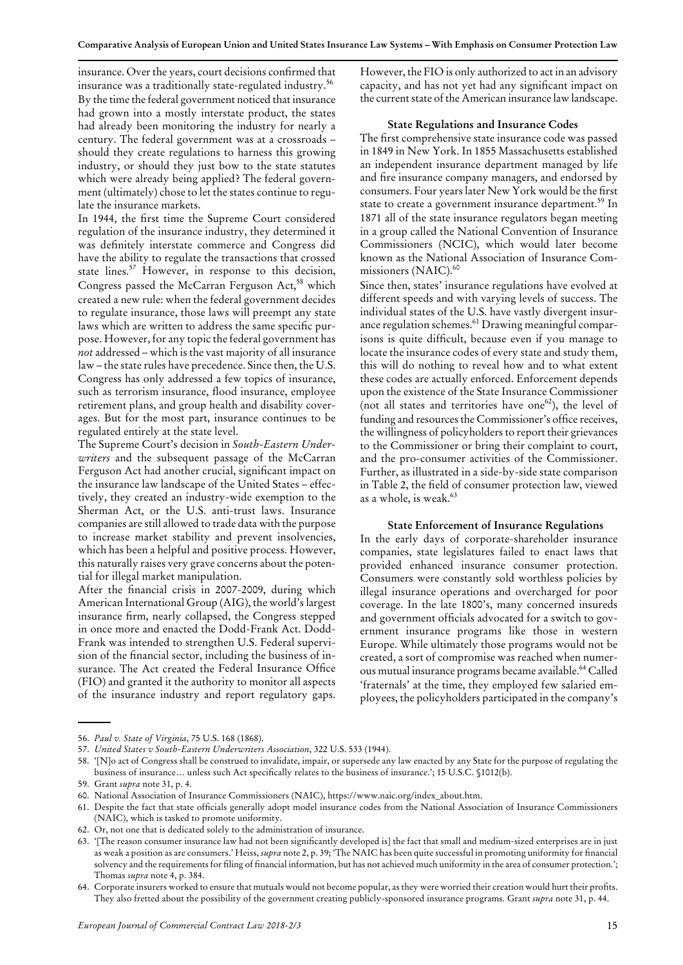insurance. Over the years, court decisions confirmed that insurance was a traditionally state-regulated industry.<sup>56</sup> By the time the federal government noticed that insurance had grown into a mostly interstate product, the states had already been monitoring the industry for nearly a century. The federal government was at a crossroads – should they create regulations to harness this growing industry, or should they just bow to the state statutes which were already being applied? The federal government (ultimately) chose to let the states continue to regulate the insurance markets.

In 1944, the frst time the Supreme Court considered regulation of the insurance industry, they determined it was defnitely interstate commerce and Congress did have the ability to regulate the transactions that crossed state lines.<sup>57</sup> However, in response to this decision, Congress passed the McCarran Ferguson Act,<sup>58</sup> which created a new rule: when the federal government decides to regulate insurance, those laws will preempt any state laws which are written to address the same specifc purpose. However, for any topic the federal government has *not* addressed – which is the vast majority of all insurance law – the state rules have precedence. Since then, the U.S. Congress has only addressed a few topics of insurance, such as terrorism insurance, flood insurance, employee retirement plans, and group health and disability coverages. But for the most part, insurance continues to be regulated entirely at the state level.

The Supreme Court's decision in *South-Eastern Underwriters* and the subsequent passage of the McCarran Ferguson Act had another crucial, signifcant impact on the insurance law landscape of the United States – effectively, they created an industry-wide exemption to the Sherman Act, or the U.S. anti-trust laws. Insurance companies are still allowed to trade data with the purpose to increase market stability and prevent insolvencies, which has been a helpful and positive process. However, this naturally raises very grave concerns about the potential for illegal market manipulation.

After the fnancial crisis in 2007-2009, during which American International Group (AIG), the world's largest insurance frm, nearly collapsed, the Congress stepped in once more and enacted the Dodd-Frank Act. Dodd-Frank was intended to strengthen U.S. Federal supervision of the fnancial sector, including the business of insurance. The Act created the Federal Insurance Office (FIO) and granted it the authority to monitor all aspects of the insurance industry and report regulatory gaps.

However, the FIO is only authorized to act in an advisory capacity, and has not yet had any signifcant impact on the current state of the American insurance law landscape.

#### **State Regulations and Insurance Codes**

The frst comprehensive state insurance code was passed in 1849 in New York. In 1855 Massachusetts established an independent insurance department managed by life and fre insurance company managers, and endorsed by consumers. Four yearslater New York would be the frst state to create a government insurance department.<sup>59</sup> In 1871 all of the state insurance regulators began meeting in a group called the National Convention of Insurance Commissioners (NCIC), which would later become known as the National Association of Insurance Commissioners (NAIC).<sup>60</sup>

Since then, states' insurance regulations have evolved at different speeds and with varying levels of success. The individual states of the U.S. have vastly divergent insurance regulation schemes.<sup>61</sup> Drawing meaningful comparisons is quite diffcult, because even if you manage to locate the insurance codes of every state and study them, this will do nothing to reveal how and to what extent these codes are actually enforced. Enforcement depends upon the existence of the State Insurance Commissioner (not all states and territories have one<sup>62</sup>), the level of funding and resources the Commissioner's office receives, the willingness of policyholders to report their grievances to the Commissioner or bring their complaint to court, and the pro-consumer activities of the Commissioner. Further, as illustrated in a side-by-side state comparison in Table 2, the feld of consumer protection law, viewed as a whole, is weak.<sup>63</sup>

#### **State Enforcement of Insurance Regulations**

In the early days of corporate-shareholder insurance companies, state legislatures failed to enact laws that provided enhanced insurance consumer protection. Consumers were constantly sold worthless policies by illegal insurance operations and overcharged for poor coverage. In the late 1800's, many concerned insureds and government officials advocated for a switch to government insurance programs like those in western Europe. While ultimately those programs would not be created, a sort of compromise was reached when numerous mutual insurance programs became available.64 Called 'fraternals' at the time, they employed few salaried employees, the policyholders participated in the company's

<sup>56.</sup> *Paul v. State of Virginia*, 75 U.S. 168 (1868).

<sup>57.</sup> *United States v South-Eastern Underwriters Association*, 322 U.S. 533 (1944).

<sup>&#</sup>x27;[N]o act of Congress shall be construed to invalidate, impair, or supersede any law enacted by any State for the purpose of regulating the 58. business of insurance… unless such Act specifcally relates to the business of insurance.'; 15 U.S.C. §1012(b).

<sup>59.</sup> Grant *supra* note 31, p. 4.

<sup>60.</sup> National Association of Insurance Commissioners (NAIC), https://www.naic.org/index\_about.htm.

<sup>61.</sup> Despite the fact that state officials generally adopt model insurance codes from the National Association of Insurance Commissioners (NAIC), which is tasked to promote uniformity.

<sup>62.</sup> Or, not one that is dedicated solely to the administration of insurance.

<sup>&#</sup>x27;[The reason consumer insurance law had not been signifcantly developed is] the fact that small and medium-sized enterprises are in just 63. as weak a position as are consumers.' Heiss, *supra* note 2, p. 39; 'The NAIC has been quite successful in promoting uniformity for fnancial solvency and the requirements for filing of financial information, but has not achieved much uniformity in the area of consumer protection.'; Thomas *supra* note 4, p. 384.

<sup>64.</sup> Corporate insurers worked to ensure that mutuals would not become popular, as they were worried their creation would hurt their profits. They also fretted about the possibility of the government creating publicly-sponsored insurance programs. Grant *supra* note 31, p. 44.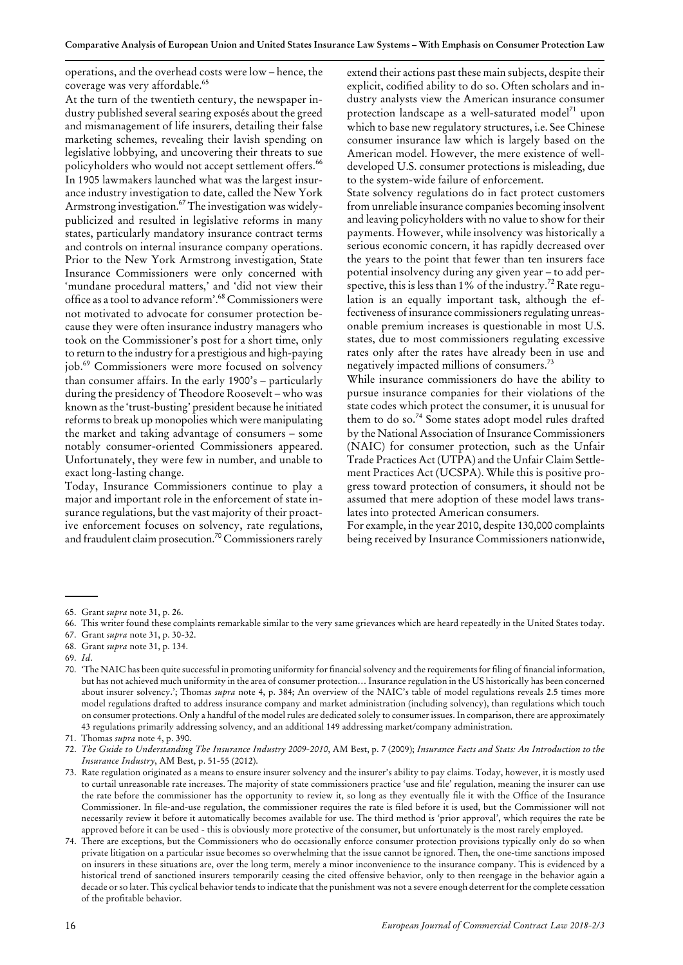operations, and the overhead costs were low –hence, the coverage was very affordable.<sup>65</sup>

At the turn of the twentieth century, the newspaper industry published several searing exposés about the greed and mismanagement of life insurers, detailing their false marketing schemes, revealing their lavish spending on legislative lobbying, and uncovering their threats to sue policyholders who would not accept settlement offers.<sup>66</sup> In 1905 lawmakers launched what was the largest insurance industry investigation to date, called the New York Armstrong investigation.<sup>67</sup> The investigation was widelypublicized and resulted in legislative reforms in many states, particularly mandatory insurance contract terms and controls on internal insurance company operations. Prior to the New York Armstrong investigation, State Insurance Commissioners were only concerned with 'mundane procedural matters,' and 'did not view their office as a tool to advance reform'.<sup>68</sup> Commissioners were not motivated to advocate for consumer protection because they were often insurance industry managers who took on the Commissioner's post for a short time, only to return to the industry for a prestigious and high-paying job.69 Commissioners were more focused on solvency than consumer affairs. In the early  $1900's$  – particularly during the presidency of Theodore Roosevelt - who was known asthe 'trust-busting' president because he initiated reformsto break up monopolies which were manipulating the market and taking advantage of consumers – some notably consumer-oriented Commissioners appeared. Unfortunately, they were few in number, and unable to exact long-lasting change.

Today, Insurance Commissioners continue to play a major and important role in the enforcement of state insurance regulations, but the vast majority of their proactive enforcement focuses on solvency, rate regulations, and fraudulent claim prosecution.<sup>70</sup> Commissioners rarely extend their actions past these main subjects, despite their explicit, codifed ability to do so. Often scholars and industry analysts view the American insurance consumer protection landscape as a well-saturated model<sup>71</sup> upon which to base new regulatory structures, i.e. See Chinese consumer insurance law which is largely based on the American model. However, the mere existence of welldeveloped U.S. consumer protections is misleading, due to the system-wide failure of enforcement.

State solvency regulations do in fact protect customers from unreliable insurance companies becoming insolvent and leaving policyholders with no value to show fortheir payments. However, while insolvency was historically a serious economic concern, it has rapidly decreased over the years to the point that fewer than ten insurers face potential insolvency during any given year –to add perspective, this is less than  $1\%$  of the industry.<sup>72</sup> Rate regulation is an equally important task, although the effectiveness of insurance commissioners regulating unreasonable premium increases is questionable in most U.S. states, due to most commissioners regulating excessive rates only after the rates have already been in use and negatively impacted millions of consumers.<sup>73</sup>

While insurance commissioners do have the ability to pursue insurance companies for their violations of the state codes which protect the consumer, it is unusual for them to do so.<sup>74</sup> Some states adopt model rules drafted by the National Association of Insurance Commissioners (NAIC) for consumer protection, such as the Unfair Trade Practices Act (UTPA) and the Unfair Claim Settlement Practices Act (UCSPA). While this is positive progress toward protection of consumers, it should not be assumed that mere adoption of these model laws translates into protected American consumers.

For example, in the year 2010, despite 130,000 complaints being received by Insurance Commissioners nationwide,

67. Grant *supra* note 31, p. 30-32.

69. *Id*.

<sup>65.</sup> Grant *supra* note 31, p. 26.

<sup>66.</sup> This writer found these complaints remarkable similar to the very same grievances which are heard repeatedly in the United States today.

<sup>68.</sup> Grant *supra* note 31, p. 134.

<sup>&#</sup>x27;The NAIC has been quite successful in promoting uniformity for fnancialsolvency and the requirementsfor fling of fnancial information, 70. but has not achieved much uniformity in the area of consumer protection… Insurance regulation in the US historically has been concerned about insurer solvency.'; Thomas *supra* note 4, p. 384; An overview of the NAIC's table of model regulations reveals 2.5 times more model regulations drafted to address insurance company and market administration (including solvency), than regulations which touch on consumer protections. Only a handful of the modelrules are dedicated solely to consumerissues.In comparison, there are approximately 43 regulations primarily addressing solvency, and an additional 149 addressing market/company administration.

<sup>71.</sup> Thomas *supra* note 4, p. 390.

<sup>72.</sup> The Guide to Understanding The Insurance Industry 2009-2010, AM Best, p. 7 (2009); Insurance Facts and Stats: An Introduction to the *Insurance Industry*, AM Best, p. 51-55 (2012).

<sup>73.</sup> Rate regulation originated as a means to ensure insurer solvency and the insurer's ability to pay claims. Today, however, it is mostly used to curtail unreasonable rate increases. The majority of state commissioners practice 'use and fle' regulation, meaning the insurer can use the rate before the commissioner has the opportunity to review it, so long as they eventually file it with the Office of the Insurance Commissioner. In fle-and-use regulation, the commissioner requires the rate is fled before it is used, but the Commissioner will not necessarily review it before it automatically becomes available for use. The third method is 'prior approval', which requires the rate be approved before it can be used - this is obviously more protective of the consumer, but unfortunately is the most rarely employed.

There are exceptions, but the Commissioners who do occasionally enforce consumer protection provisions typically only do so when 74. private litigation on a particular issue becomes so overwhelming that the issue cannot be ignored. Then, the one-time sanctions imposed on insurers in these situations are, over the long term, merely a minor inconvenience to the insurance company. This is evidenced by a historical trend of sanctioned insurers temporarily ceasing the cited offensive behavior, only to then reengage in the behavior again a decade or so later. This cyclical behavior tends to indicate that the punishment was not a severe enough deterrent for the complete cessation of the proftable behavior.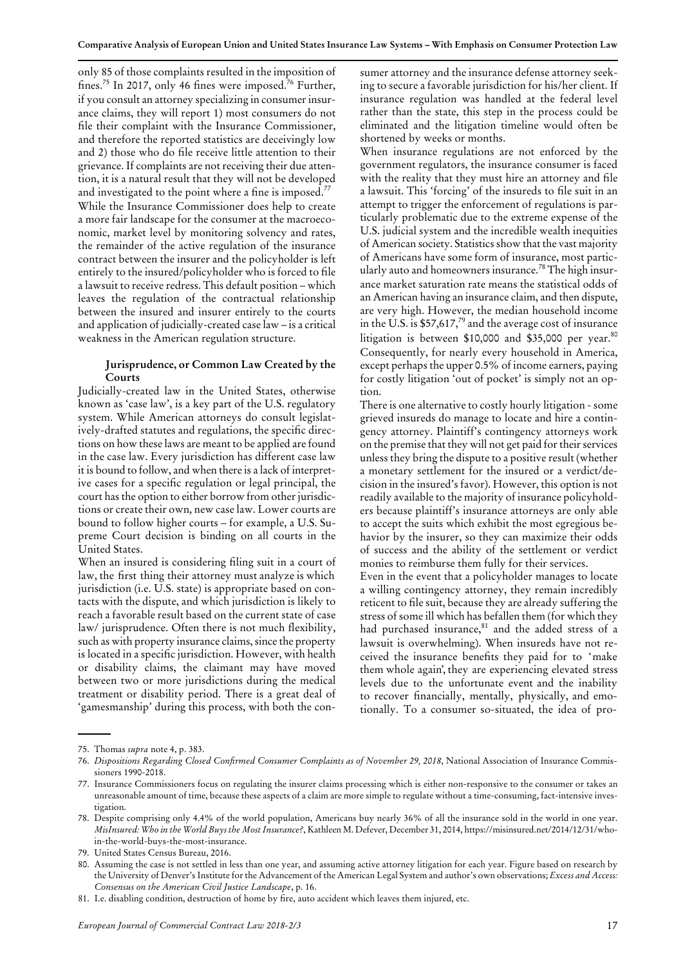only 85 of those complaints resulted in the imposition of fines.<sup>75</sup> In 2017, only 46 fines were imposed.<sup>76</sup> Further, if you consult an attorney specializing in consumer insurance claims, they will report 1) most consumers do not fle their complaint with the Insurance Commissioner, and therefore the reported statistics are deceivingly low and 2) those who do fle receive little attention to their grievance. If complaints are not receiving their due attention, it is a natural result that they will not be developed and investigated to the point where a fine is imposed.<sup>77</sup> While the Insurance Commissioner does help to create a more fair landscape for the consumer at the macroeconomic, market level by monitoring solvency and rates, the remainder of the active regulation of the insurance contract between the insurer and the policyholder is left entirely to the insured/policyholder who is forced to fle a lawsuit to receive redress. This default position –which leaves the regulation of the contractual relationship between the insured and insurer entirely to the courts and application of judicially-created case law –is a critical weakness in the American regulation structure.

## **Jurisprudence, or Common Law Created by the Courts**

Judicially-created law in the United States, otherwise known as 'case law', is a key part of the U.S. regulatory system. While American attorneys do consult legislatively-drafted statutes and regulations, the specifc directions on how these laws are meant to be applied are found in the case law. Every jurisdiction has different case law it is bound to follow, and when there is a lack of interpretive cases for a specifc regulation or legal principal, the court has the option to either borrow from other jurisdictions or create their own, new case law. Lower courts are bound to follow higher courts – for example, a U.S. Supreme Court decision is binding on all courts in the United States.

When an insured is considering fling suit in a court of law, the frst thing their attorney must analyze is which jurisdiction (i.e. U.S. state) is appropriate based on contacts with the dispute, and which jurisdiction is likely to reach a favorable result based on the current state of case law/ jurisprudence. Often there is not much flexibility, such as with property insurance claims, since the property islocated in a specifc jurisdiction. However, with health or disability claims, the claimant may have moved between two or more jurisdictions during the medical treatment or disability period. There is a great deal of 'gamesmanship' during this process, with both the consumer attorney and the insurance defense attorney seeking to secure a favorable jurisdiction for his/her client. If insurance regulation was handled at the federal level rather than the state, this step in the process could be eliminated and the litigation timeline would often be shortened by weeks or months.

When insurance regulations are not enforced by the government regulators, the insurance consumer is faced with the reality that they must hire an attorney and fle a lawsuit. This 'forcing' of the insureds to fle suit in an attempt to trigger the enforcement of regulations is particularly problematic due to the extreme expense of the U.S. judicial system and the incredible wealth inequities of American society. Statistics show that the vast majority of Americans have some form of insurance, most particularly auto and homeowners insurance.<sup>78</sup> The high insurance market saturation rate means the statistical odds of an American having an insurance claim, and then dispute, are very high. However, the median household income in the U.S. is  $$57,617<sup>79</sup>$  and the average cost of insurance litigation is between \$10,000 and \$35,000 per year.<sup>80</sup> Consequently, for nearly every household in America, except perhaps the upper 0.5% of income earners, paying for costly litigation 'out of pocket' is simply not an option.

There is one alternative to costly hourly litigation - some grieved insureds do manage to locate and hire a contingency attorney. Plaintiff's contingency attorneys work on the premise that they will not get paid for their services unlessthey bring the dispute to a positive result (whether a monetary settlement for the insured or a verdict/decision in the insured'sfavor). However, this option is not readily available to the majority of insurance policyholders because plaintiff's insurance attorneys are only able to accept the suits which exhibit the most egregious behavior by the insurer, so they can maximize their odds of success and the ability of the settlement or verdict monies to reimburse them fully for their services.

Even in the event that a policyholder manages to locate a willing contingency attorney, they remain incredibly reticent to fle suit, because they are already suffering the stress of some ill which has befallen them (for which they had purchased insurance,<sup>81</sup> and the added stress of a lawsuit is overwhelming). When insureds have not received the insurance benefts they paid for to 'make them whole again', they are experiencing elevated stress levels due to the unfortunate event and the inability to recover fnancially, mentally, physically, and emotionally. To a consumer so-situated, the idea of pro-

<sup>75.</sup> Thomas *supra* note 4, p. 383.

*Dispositions Regarding Closed Confrmed Consumer Complaints as of November 29, 2018*, National Association of Insurance Commis-76. sioners 1990-2018.

<sup>77.</sup> Insurance Commissioners focus on regulating the insurer claims processing which is either non-responsive to the consumer or takes an unreasonable amount of time, because these aspects of a claim are more simple to regulate without a time-consuming, fact-intensive investigation.

<sup>78.</sup> Despite comprising only 4.4% of the world population, Americans buy nearly 36% of all the insurance sold in the world in one year. *MisInsured: Who in the World Buys the Most Insurance?*, Kathleen M. Defever, December 31, 2014, https://misinsured.net/2014/12/31/whoin-the-world-buys-the-most-insurance.

<sup>79.</sup> United States Census Bureau, 2016.

Assuming the case is not settled in less than one year, and assuming active attorney litigation for each year. Figure based on research by 80. the University of Denver'sInstitute forthe Advancement of the American Legal System and author's own observations; *Excess and Access: Consensus on the American Civil Justice Landscape*, p. 16.

<sup>81.</sup> I.e. disabling condition, destruction of home by fre, auto accident which leaves them injured, etc.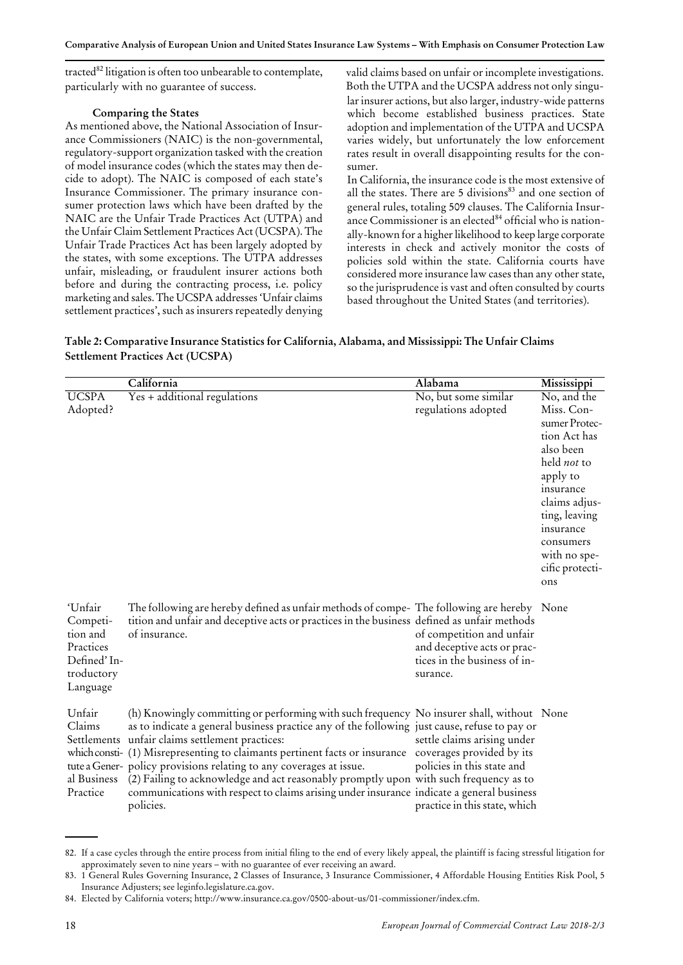tracted $^{82}$  litigation is often too unbearable to contemplate, particularly with no guarantee of success.

## **Comparing the States**

As mentioned above, the National Association of Insurance Commissioners (NAIC) is the non-governmental, regulatory-support organization tasked with the creation of model insurance codes (which the states may then decide to adopt). The NAIC is composed of each state's Insurance Commissioner. The primary insurance consumer protection laws which have been drafted by the NAIC are the Unfair Trade Practices Act (UTPA) and the Unfair Claim Settlement Practices Act (UCSPA). The Unfair Trade Practices Act has been largely adopted by the states, with some exceptions. The UTPA addresses unfair, misleading, or fraudulent insurer actions both before and during the contracting process, i.e. policy marketing and sales. The UCSPA addresses'Unfair claims settlement practices', such as insurers repeatedly denying valid claims based on unfair or incomplete investigations. Both the UTPA and the UCSPA address not only singular insurer actions, but also larger, industry-wide patterns which become established business practices. State adoption and implementation of the UTPA and UCSPA varies widely, but unfortunately the low enforcement rates result in overall disappointing results for the consumer.

In California, the insurance code is the most extensive of all the states. There are 5 divisions<sup>83</sup> and one section of general rules, totaling 509 clauses. The California Insurance Commissioner is an elected $84$  official who is nationally-known for a higher likelihood to keep large corporate interests in check and actively monitor the costs of policies sold within the state. California courts have considered more insurance law cases than any other state, so the jurisprudence is vast and often consulted by courts based throughout the United States (and territories).

|                                         | Table 2: Comparative Insurance Statistics for California, Alabama, and Mississippi: The Unfair Claims |  |
|-----------------------------------------|-------------------------------------------------------------------------------------------------------|--|
| <b>Settlement Practices Act (UCSPA)</b> |                                                                                                       |  |

|                                                                                        | California                                                                                                                                                                                                                                                                                                                                                                                                                                                                                                                                                                                            | Alabama                                                                                                                 | Mississippi                                                                                                                                                                                                           |
|----------------------------------------------------------------------------------------|-------------------------------------------------------------------------------------------------------------------------------------------------------------------------------------------------------------------------------------------------------------------------------------------------------------------------------------------------------------------------------------------------------------------------------------------------------------------------------------------------------------------------------------------------------------------------------------------------------|-------------------------------------------------------------------------------------------------------------------------|-----------------------------------------------------------------------------------------------------------------------------------------------------------------------------------------------------------------------|
| <b>UCSPA</b><br>Adopted?                                                               | $Yes + additional regulations$                                                                                                                                                                                                                                                                                                                                                                                                                                                                                                                                                                        | No, but some similar<br>regulations adopted                                                                             | No, and the<br>Miss. Con-<br>sumer Protec-<br>tion Act has<br>also been<br>held not to<br>apply to<br>insurance<br>claims adjus-<br>ting, leaving<br>insurance<br>consumers<br>with no spe-<br>cific protecti-<br>ons |
| 'Unfair<br>Competi-<br>tion and<br>Practices<br>Defined' In-<br>troductory<br>Language | The following are hereby defined as unfair methods of compe- The following are hereby None<br>tition and unfair and deceptive acts or practices in the business defined as unfair methods<br>of insurance.                                                                                                                                                                                                                                                                                                                                                                                            | of competition and unfair<br>and deceptive acts or prac-<br>tices in the business of in-<br>surance.                    |                                                                                                                                                                                                                       |
| Unfair<br>Claims<br>al Business<br>Practice                                            | (h) Knowingly committing or performing with such frequency No insurer shall, without None<br>as to indicate a general business practice any of the following just cause, refuse to pay or<br>Settlements unfair claims settlement practices:<br>which consti- (1) Misrepresenting to claimants pertinent facts or insurance<br>tute a Gener- policy provisions relating to any coverages at issue.<br>(2) Failing to acknowledge and act reasonably promptly upon with such frequency as to<br>communications with respect to claims arising under insurance indicate a general business<br>policies. | settle claims arising under<br>coverages provided by its<br>policies in this state and<br>practice in this state, which |                                                                                                                                                                                                                       |

If a case cycles through the entire process from initial fling to the end of every likely appeal, the plaintiff is facing stressful litigation for 82. approximately seven to nine years – with no guarantee of ever receiving an award.

<sup>83. 1</sup> General Rules Governing Insurance, 2 Classes of Insurance, 3 Insurance Commissioner, 4 Affordable Housing Entities Risk Pool, 5 Insurance Adjusters; see leginfo.legislature.ca.gov.

<sup>84.</sup> Elected by California voters; http://www.insurance.ca.gov/0500-about-us/01-commissioner/index.cfm.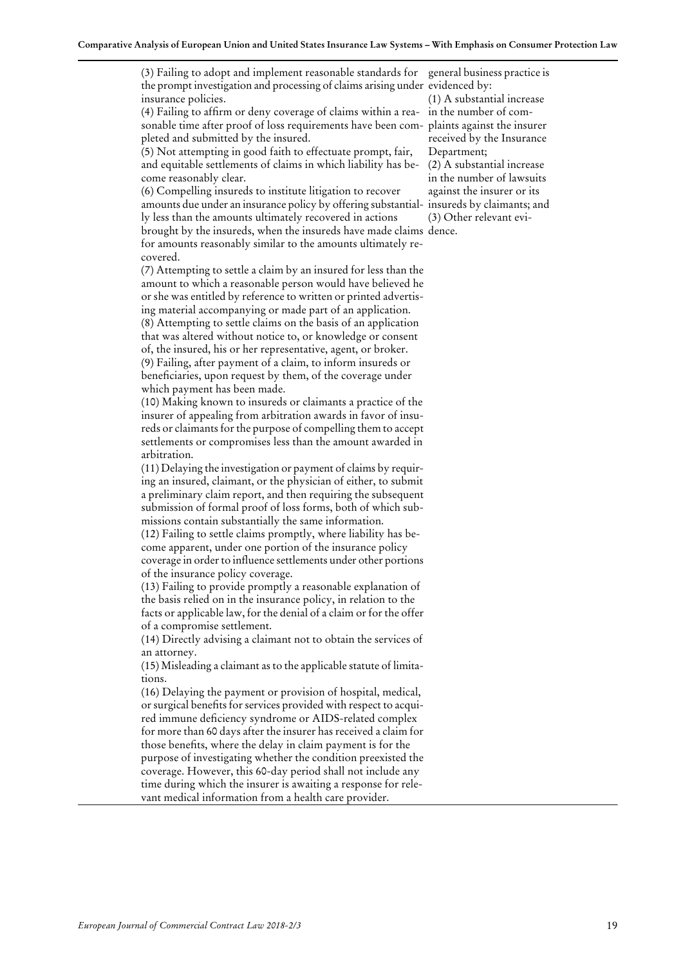(3) Failing to adopt and implement reasonable standards for general business practice is the prompt investigation and processing of claims arising under evidenced by: insurance policies.

(4) Failing to affrm or deny coverage of claims within a rea- in the number of comsonable time after proof of loss requirements have been com-plaints against the insurer pleted and submitted by the insured.

(5) Not attempting in good faith to effectuate prompt, fair, Department; and equitable settlements of claims in which liability has become reasonably clear.

(6) Compelling insureds to institute litigation to recover amounts due under an insurance policy by offering substantially less than the amounts ultimately recovered in actions (3) Other relevant evibrought by the insureds, when the insureds have made claims dence. for amounts reasonably similar to the amounts ultimately recovered.

(7) Attempting to settle a claim by an insured for less than the amount to which a reasonable person would have believed he or she was entitled by reference to written or printed advertising material accompanying or made part of an application. (8) Attempting to settle claims on the basis of an application that was altered without notice to, or knowledge or consent of, the insured, his or her representative, agent, or broker. (9) Failing, after payment of a claim, to inform insureds or benefciaries, upon request by them, of the coverage under

which payment has been made.

(10) Making known to insureds or claimants a practice of the insurer of appealing from arbitration awards in favor of insureds or claimants for the purpose of compelling them to accept settlements or compromises less than the amount awarded in arbitration.

(11) Delaying the investigation or payment of claims by requiring an insured, claimant, or the physician of either, to submit a preliminary claim report, and then requiring the subsequent submission of formal proof of loss forms, both of which submissions contain substantially the same information.

(12) Failing to settle claims promptly, where liability has become apparent, under one portion of the insurance policy coverage in order to influence settlements under other portions of the insurance policy coverage.

(13) Failing to provide promptly a reasonable explanation of the basis relied on in the insurance policy, in relation to the facts or applicable law, for the denial of a claim or for the offer of a compromise settlement.

(14) Directly advising a claimant not to obtain the services of an attorney.

(15) Misleading a claimant asto the applicable statute of limitations.

(16) Delaying the payment or provision of hospital, medical, or surgical benefits for services provided with respect to acquired immune defciency syndrome or AIDS-related complex for more than 60 days after the insurer has received a claim for those benefts, where the delay in claim payment is for the purpose of investigating whether the condition preexisted the coverage. However, this 60-day period shall not include any time during which the insurer is awaiting a response for relevant medical information from a health care provider.

(1) A substantial increase received by the Insurance (2) A substantial increase

in the number of lawsuits against the insurer or its insureds by claimants; and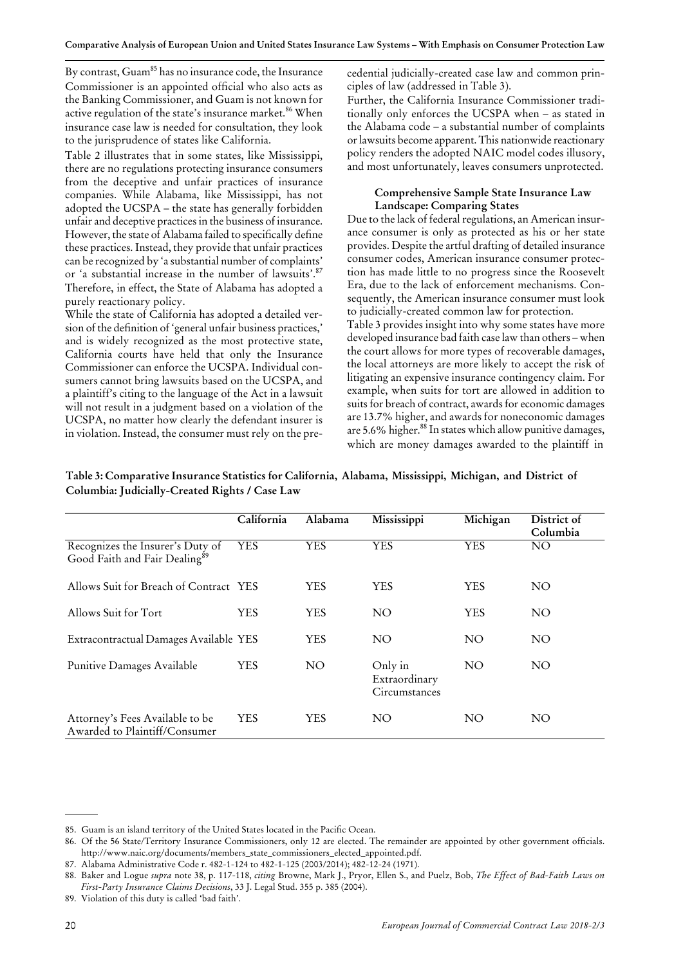By contrast, Guam<sup>85</sup> has no insurance code, the Insurance Commissioner is an appointed official who also acts as the Banking Commissioner, and Guam is not known for active regulation of the state's insurance market.<sup>86</sup> When insurance case law is needed for consultation, they look to the jurisprudence of states like California.

Table 2 illustrates that in some states, like Mississippi, there are no regulations protecting insurance consumers from the deceptive and unfair practices of insurance companies. While Alabama, like Mississippi, has not adopted the UCSPA – the state has generally forbidden unfair and deceptive practicesin the business of insurance. However, the state of Alabama failed to specifcally defne these practices.Instead, they provide that unfair practices can be recognized by 'a substantial number of complaints' or 'a substantial increase in the number of lawsuits'. 87 Therefore, in effect, the State of Alabama has adopted a purely reactionary policy.

While the state of California has adopted a detailed version of the defnition of 'general unfair business practices,' and is widely recognized as the most protective state, California courts have held that only the Insurance Commissioner can enforce the UCSPA. Individual consumers cannot bring lawsuits based on the UCSPA, and a plaintiff's citing to the language of the Act in a lawsuit will not result in a judgment based on a violation of the UCSPA, no matter how clearly the defendant insurer is in violation. Instead, the consumer must rely on the precedential judicially-created case law and common principles of law (addressed in Table 3).

Further, the California Insurance Commissioner traditionally only enforces the UCSPA when – as stated in the Alabama code – a substantial number of complaints or lawsuits become apparent. This nationwide reactionary policy renders the adopted NAIC model codes illusory, and most unfortunately, leaves consumers unprotected.

# **Comprehensive Sample State Insurance Law Landscape: Comparing States**

Due to the lack of federal regulations, an American insurance consumer is only as protected as his or her state provides. Despite the artful drafting of detailed insurance consumer codes, American insurance consumer protection has made little to no progress since the Roosevelt Era, due to the lack of enforcement mechanisms. Consequently, the American insurance consumer must look to judicially-created common law for protection.

Table 3 provides insight into why some states have more developed insurance bad faith case law than others –when the court allows for more types of recoverable damages, the local attorneys are more likely to accept the risk of litigating an expensive insurance contingency claim. For example, when suits for tort are allowed in addition to suits for breach of contract, awards for economic damages are 13.7% higher, and awards for noneconomic damages are 5.6% higher.<sup>88</sup> In states which allow punitive damages, which are money damages awarded to the plaintiff in

|                                                                               | California | Alabama         | Mississippi                               | Michigan        | District of<br>Columbia |
|-------------------------------------------------------------------------------|------------|-----------------|-------------------------------------------|-----------------|-------------------------|
| Recognizes the Insurer's Duty of<br>Good Faith and Fair Dealing <sup>89</sup> | <b>YES</b> | <b>YES</b>      | YES                                       | <b>YES</b>      | NO                      |
| Allows Suit for Breach of Contract YES                                        |            | YES             | <b>YES</b>                                | YES             | NO                      |
| Allows Suit for Tort                                                          | <b>YES</b> | <b>YES</b>      | NO <sub>1</sub>                           | YES             | NO <sub>1</sub>         |
| Extracontractual Damages Available YES                                        |            | <b>YES</b>      | NO <sub>1</sub>                           | NO <sub>1</sub> | NO <sub>1</sub>         |
| Punitive Damages Available                                                    | <b>YES</b> | NO <sub>1</sub> | Only in<br>Extraordinary<br>Circumstances | NO <sub>1</sub> | NO <sub>1</sub>         |
| Attorney's Fees Available to be<br>Awarded to Plaintiff/Consumer              | <b>YES</b> | YES             | NO <sub>1</sub>                           | NO <sub>1</sub> | NO                      |

**Table 3: Comparative Insurance Statistics for California, Alabama, Mississippi, Michigan, and District of Columbia: Judicially-Created Rights / Case Law**

<sup>85.</sup> Guam is an island territory of the United States located in the Pacifc Ocean.

<sup>86.</sup> Of the 56 State/Territory Insurance Commissioners, only 12 are elected. The remainder are appointed by other government officials. http://www.naic.org/documents/members\_state\_commissioners\_elected\_appointed.pdf.

<sup>87.</sup> Alabama Administrative Code r. 482-1-124 to 482-1-125 (2003/2014); 482-12-24 (1971).

Baker and Logue *supra* note 38, p. 117-118, *citing* Browne, Mark J., Pryor, Ellen S., and Puelz, Bob, *The Effect of Bad-Faith Laws on* 88. *First-Party Insurance Claims Decisions*, 33 J. Legal Stud. 355 p. 385 (2004).

<sup>89.</sup> Violation of this duty is called 'bad faith'.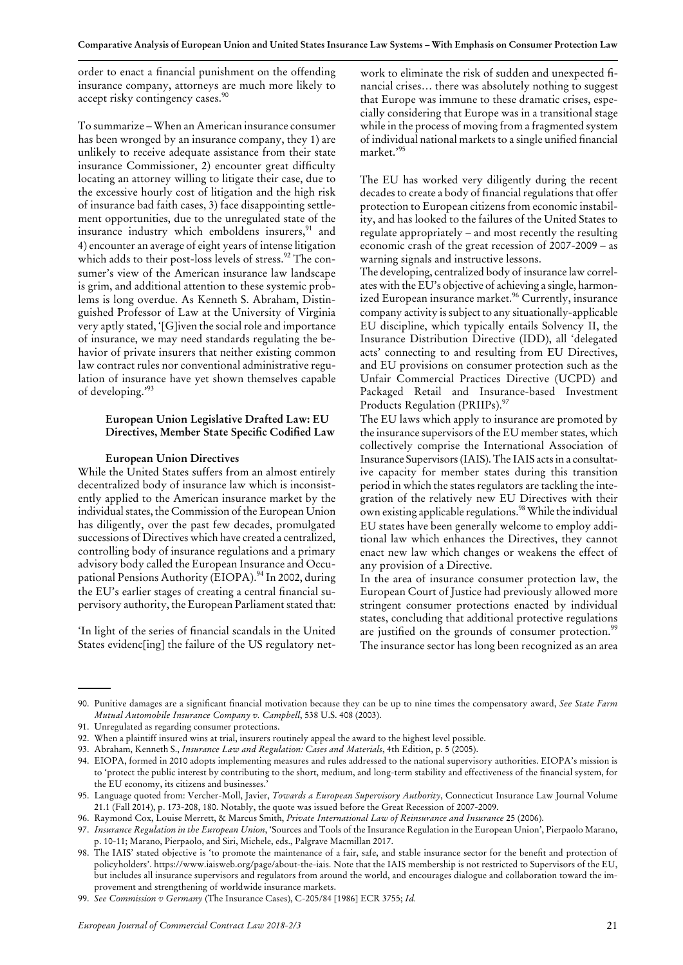order to enact a fnancial punishment on the offending insurance company, attorneys are much more likely to accept risky contingency cases.<sup>90</sup>

To summarize –When an American insurance consumer has been wronged by an insurance company, they 1) are unlikely to receive adequate assistance from their state insurance Commissioner, 2) encounter great difficulty locating an attorney willing to litigate their case, due to the excessive hourly cost of litigation and the high risk of insurance bad faith cases, 3) face disappointing settlement opportunities, due to the unregulated state of the insurance industry which emboldens insurers,<sup>91</sup> and 4) encounter an average of eight years of intense litigation which adds to their post-loss levels of stress.<sup>92</sup> The consumer's view of the American insurance law landscape is grim, and additional attention to these systemic problems is long overdue. As Kenneth S. Abraham, Distinguished Professor of Law at the University of Virginia very aptly stated, '[G]iven the social role and importance of insurance, we may need standards regulating the behavior of private insurers that neither existing common law contract rules nor conventional administrative regulation of insurance have yet shown themselves capable of developing.' 93

# **European Union Legislative Drafted Law: EU Directives, Member State Specifc Codifed Law**

## **European Union Directives**

While the United States suffers from an almost entirely decentralized body of insurance law which is inconsistently applied to the American insurance market by the individual states, the Commission of the European Union has diligently, over the past few decades, promulgated successions of Directives which have created a centralized, controlling body of insurance regulations and a primary advisory body called the European Insurance and Occupational Pensions Authority (EIOPA).<sup>94</sup> In 2002, during the EU's earlier stages of creating a central fnancial supervisory authority, the European Parliament stated that:

'In light of the series of fnancial scandals in the United States evidenc[ing] the failure of the US regulatory network to eliminate the risk of sudden and unexpected fnancial crises… there was absolutely nothing to suggest that Europe was immune to these dramatic crises, especially considering that Europe was in a transitional stage while in the process of moving from a fragmented system of individual national markets to a single unified financial market.' 95

The EU has worked very diligently during the recent decades to create a body of financial regulations that offer protection to European citizens from economic instability, and has looked to the failures of the United States to regulate appropriately –and most recently the resulting economic crash of the great recession of 2007-2009 –as warning signals and instructive lessons.

The developing, centralized body of insurance law correlates with the EU's objective of achieving a single, harmonized European insurance market.<sup>96</sup> Currently, insurance company activity issubject to any situationally-applicable EU discipline, which typically entails Solvency II, the Insurance Distribution Directive (IDD), all 'delegated acts' connecting to and resulting from EU Directives, and EU provisions on consumer protection such as the Unfair Commercial Practices Directive (UCPD) and Packaged Retail and Insurance-based Investment Products Regulation (PRIIPs).<sup>97</sup>

The EU laws which apply to insurance are promoted by the insurance supervisors of the EU member states, which collectively comprise the International Association of Insurance Supervisors(IAIS). The IAIS actsin a consultative capacity for member states during this transition period in which the states regulators are tackling the integration of the relatively new EU Directives with their own existing applicable regulations.<sup>98</sup> While the individual EU states have been generally welcome to employ additional law which enhances the Directives, they cannot enact new law which changes or weakens the effect of any provision of a Directive.

In the area of insurance consumer protection law, the European Court of Justice had previously allowed more stringent consumer protections enacted by individual states, concluding that additional protective regulations are justified on the grounds of consumer protection.<sup>99</sup> The insurance sector has long been recognized as an area

99. *See Commission v Germany* (The Insurance Cases), C-205/84 [1986] ECR 3755; *Id.*

Punitive damages are a signifcant fnancial motivation because they can be up to nine times the compensatory award, *See State Farm* 90. *Mutual Automobile Insurance Company v. Campbell*, 538 U.S. 408 (2003).

<sup>91.</sup> Unregulated as regarding consumer protections.

<sup>92.</sup> When a plaintiff insured wins at trial, insurers routinely appeal the award to the highest level possible.

<sup>93.</sup> Abraham, Kenneth S., *Insurance Law and Regulation: Cases and Materials*, 4th Edition, p. 5 (2005).

EIOPA, formed in 2010 adopts implementing measures and rules addressed to the national supervisory authorities. EIOPA's mission is 94. to 'protect the public interest by contributing to the short, medium, and long-term stability and effectiveness of the fnancial system, for the EU economy, its citizens and businesses.'

Language quoted from: Vercher-Moll, Javier, *Towards a European Supervisory Authority*, Connecticut Insurance Law Journal Volume 95. 21.1 (Fall 2014), p. 173-208, 180. Notably, the quote was issued before the Great Recession of 2007-2009.

<sup>96.</sup> Raymond Cox, Louise Merrett, & Marcus Smith, *Private International Law of Reinsurance and Insurance* 25 (2006).

*Insurance Regulation in the European Union*, 'Sources and Tools of the Insurance Regulation in the European Union', Pierpaolo Marano, 97. p. 10-11; Marano, Pierpaolo, and Siri, Michele, eds., Palgrave Macmillan 2017.

<sup>98.</sup> The IAIS' stated objective is 'to promote the maintenance of a fair, safe, and stable insurance sector for the benefit and protection of policyholders'. https://www.iaisweb.org/page/about-the-iais. Note that the IAIS membership is not restricted to Supervisors of the EU, but includes all insurance supervisors and regulators from around the world, and encourages dialogue and collaboration toward the improvement and strengthening of worldwide insurance markets.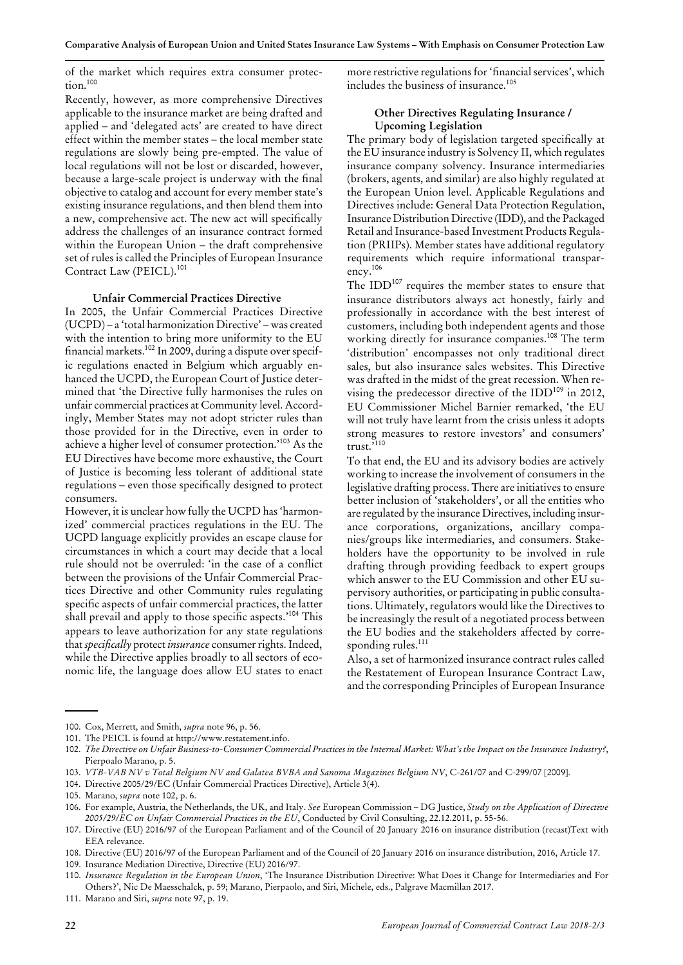of the market which requires extra consumer protection. $100$ 

Recently, however, as more comprehensive Directives applicable to the insurance market are being drafted and applied –and 'delegated acts' are created to have direct effect within the member states - the local member state regulations are slowly being pre-empted. The value of local regulations will not be lost or discarded, however, because a large-scale project is underway with the fnal objective to catalog and account for every member state's existing insurance regulations, and then blend them into a new, comprehensive act. The new act will specifcally address the challenges of an insurance contract formed within the European Union - the draft comprehensive set of rules is called the Principles of European Insurance Contract Law (PEICL).<sup>101</sup>

#### **Unfair Commercial Practices Directive**

In 2005, the Unfair Commercial Practices Directive (UCPD) –a 'total harmonization Directive' –was created with the intention to bring more uniformity to the EU financial markets.<sup>102</sup> In 2009, during a dispute over specific regulations enacted in Belgium which arguably enhanced the UCPD, the European Court of Justice determined that 'the Directive fully harmonises the rules on unfair commercial practices at Community level. Accordingly, Member States may not adopt stricter rules than those provided for in the Directive, even in order to achieve a higher level of consumer protection.' <sup>103</sup> As the EU Directives have become more exhaustive, the Court of Justice is becoming less tolerant of additional state regulations – even those specifically designed to protect consumers.

However, it is unclear how fully the UCPD has'harmonized' commercial practices regulations in the EU. The UCPD language explicitly provides an escape clause for circumstances in which a court may decide that a local rule should not be overruled: 'in the case of a confict between the provisions of the Unfair Commercial Practices Directive and other Community rules regulating specifc aspects of unfair commercial practices, the latter shall prevail and apply to those specifc aspects.' <sup>104</sup> This appears to leave authorization for any state regulations that *specifically* protect *insurance* consumer rights. Indeed, while the Directive applies broadly to all sectors of economic life, the language does allow EU states to enact more restrictive regulations for 'financial services', which includes the business of insurance.<sup>105</sup>

## **Other Directives Regulating Insurance / Upcoming Legislation**

The primary body of legislation targeted specifcally at the EU insurance industry is Solvency II, which regulates insurance company solvency. Insurance intermediaries (brokers, agents, and similar) are also highly regulated at the European Union level. Applicable Regulations and Directives include: General Data Protection Regulation, Insurance Distribution Directive (IDD), and the Packaged Retail and Insurance-based Investment Products Regulation (PRIIPs). Member states have additional regulatory requirements which require informational transparency.106

The IDD107 requires the member states to ensure that insurance distributors always act honestly, fairly and professionally in accordance with the best interest of customers, including both independent agents and those working directly for insurance companies.<sup>108</sup> The term 'distribution' encompasses not only traditional direct sales, but also insurance sales websites. This Directive was drafted in the midst of the great recession. When revising the predecessor directive of the IDD<sup>109</sup> in 2012, EU Commissioner Michel Barnier remarked, 'the EU will not truly have learnt from the crisis unless it adopts strong measures to restore investors' and consumers' trust.' 110

To that end, the EU and its advisory bodies are actively working to increase the involvement of consumersin the legislative drafting process. There are initiatives to ensure better inclusion of 'stakeholders', or all the entities who are regulated by the insurance Directives, including insurance corporations, organizations, ancillary companies/groups like intermediaries, and consumers. Stakeholders have the opportunity to be involved in rule drafting through providing feedback to expert groups which answer to the EU Commission and other EU supervisory authorities, or participating in public consultations. Ultimately, regulators would like the Directives to be increasingly the result of a negotiated process between the EU bodies and the stakeholders affected by corresponding rules.<sup>111</sup>

Also, a set of harmonized insurance contract rules called the Restatement of European Insurance Contract Law, and the corresponding Principles of European Insurance

*Insurance Regulation in the European Union*, 'The Insurance Distribution Directive: What Does it Change for Intermediaries and For Others?', Nic De Maesschalck, p. 59; Marano, Pierpaolo, and Siri, Michele, eds., Palgrave Macmillan 2017. 110.

111. Marano and Siri, *supra* note 97, p. 19.

<sup>100.</sup> Cox, Merrett, and Smith, *supra* note 96, p. 56.

<sup>101.</sup> The PEICL is found at http://www.restatement.info.

<sup>102.</sup> The Directive on Unfair Business-to-Consumer Commercial Practices in the Internal Market: What's the Impact on the Insurance Industry?, Pierpoalo Marano, p. 5.

<sup>103.</sup> *VTB-VAB NV v Total Belgium NV and Galatea BVBA and Sanoma Magazines Belgium NV*, C-261/07 and C-299/07 [2009].

<sup>104.</sup> Directive 2005/29/EC (Unfair Commercial Practices Directive), Article 3(4).

<sup>105.</sup> Marano, *supra* note 102, p. 6.

For example, Austria, the Netherlands, the UK, and Italy. *See* European Commission –DG Justice, *Study on the Application of Directive* 106. *2005/29/EC on Unfair Commercial Practices in the EU*, Conducted by Civil Consulting, 22.12.2011, p. 55-56.

<sup>107.</sup> Directive (EU) 2016/97 of the European Parliament and of the Council of 20 January 2016 on insurance distribution (recast)Text with EEA relevance.

<sup>108.</sup> Directive (EU) 2016/97 of the European Parliament and of the Council of 20 January 2016 on insurance distribution, 2016, Article 17.

<sup>109.</sup> Insurance Mediation Directive, Directive (EU) 2016/97.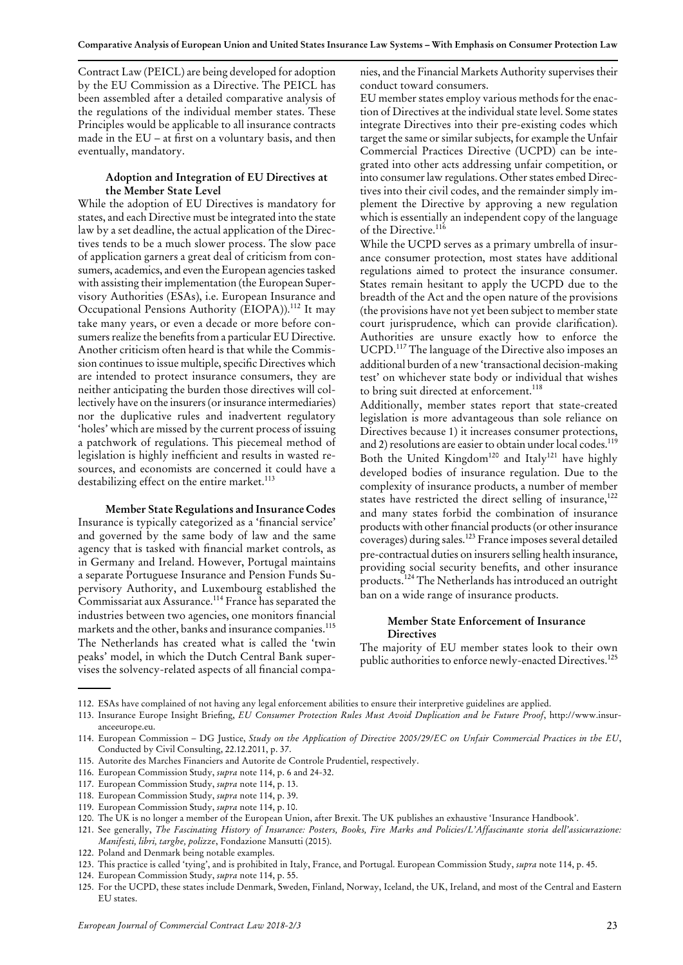Contract Law (PEICL) are being developed for adoption by the EU Commission as a Directive. The PEICL has been assembled after a detailed comparative analysis of the regulations of the individual member states. These Principles would be applicable to all insurance contracts made in the EU –at frst on a voluntary basis, and then eventually, mandatory.

## **Adoption and Integration of EU Directives at the Member State Level**

While the adoption of EU Directives is mandatory for states, and each Directive must be integrated into the state law by a set deadline, the actual application of the Directives tends to be a much slower process. The slow pace of application garners a great deal of criticism from consumers, academics, and even the European agencies tasked with assisting their implementation (the European Supervisory Authorities (ESAs), i.e. European Insurance and Occupational Pensions Authority (EIOPA)).<sup>112</sup> It may take many years, or even a decade or more before consumers realize the benefits from a particular EU Directive. Another criticism often heard is that while the Commission continues to issue multiple, specific Directives which are intended to protect insurance consumers, they are neither anticipating the burden those directives will collectively have on the insurers (or insurance intermediaries) nor the duplicative rules and inadvertent regulatory 'holes' which are missed by the current process of issuing a patchwork of regulations. This piecemeal method of legislation is highly ineffcient and results in wasted resources, and economists are concerned it could have a destabilizing effect on the entire market.<sup>113</sup>

#### **Member State Regulations and Insurance Codes**

Insurance is typically categorized as a 'fnancial service' and governed by the same body of law and the same agency that is tasked with fnancial market controls, as in Germany and Ireland. However, Portugal maintains a separate Portuguese Insurance and Pension Funds Supervisory Authority, and Luxembourg established the Commissariat aux Assurance.<sup>114</sup> France has separated the industries between two agencies, one monitors fnancial markets and the other, banks and insurance companies.<sup>115</sup> The Netherlands has created what is called the 'twin peaks' model, in which the Dutch Central Bank supervises the solvency-related aspects of all fnancial companies, and the Financial Markets Authority supervises their conduct toward consumers.

EU member states employ various methods for the enaction of Directives at the individual state level. Some states integrate Directives into their pre-existing codes which target the same or similar subjects, for example the Unfair Commercial Practices Directive (UCPD) can be integrated into other acts addressing unfair competition, or into consumer law regulations. Other states embed Directives into their civil codes, and the remainder simply implement the Directive by approving a new regulation which is essentially an independent copy of the language of the Directive.<sup>116</sup>

While the UCPD serves as a primary umbrella of insurance consumer protection, most states have additional regulations aimed to protect the insurance consumer. States remain hesitant to apply the UCPD due to the breadth of the Act and the open nature of the provisions (the provisions have not yet been subject to member state court jurisprudence, which can provide clarifcation). Authorities are unsure exactly how to enforce the UCPD.117 The language of the Directive also imposes an additional burden of a new 'transactional decision-making test' on whichever state body or individual that wishes to bring suit directed at enforcement.<sup>118</sup>

Additionally, member states report that state-created legislation is more advantageous than sole reliance on Directives because 1) it increases consumer protections, and 2) resolutions are easier to obtain under local codes.<sup>119</sup> Both the United Kingdom<sup>120</sup> and Italy<sup>121</sup> have highly developed bodies of insurance regulation. Due to the complexity of insurance products, a number of member states have restricted the direct selling of insurance, $122$ and many states forbid the combination of insurance products with other financial products (or other insurance coverages) during sales.<sup>123</sup> France imposes several detailed pre-contractual duties on insurers selling health insurance, providing social security benefts, and other insurance products.<sup>124</sup> The Netherlands hasintroduced an outright ban on a wide range of insurance products.

## **Member State Enforcement of Insurance Directives**

The majority of EU member states look to their own public authorities to enforce newly-enacted Directives.<sup>125</sup>

<sup>112.</sup> ESAs have complained of not having any legal enforcement abilities to ensure their interpretive guidelines are applied.

Insurance Europe Insight Briefng, *EU Consumer Protection Rules Must Avoid Duplication and be Future Proof*, http://www.insur-113. anceeurope.eu.

<sup>114.</sup> European Commission – DG Justice, Study on the Application of Directive 2005/29/EC on Unfair Commercial Practices in the EU, Conducted by Civil Consulting, 22.12.2011, p. 37.

<sup>115.</sup> Autorite des Marches Financiers and Autorite de Controle Prudentiel, respectively.

<sup>116.</sup> European Commission Study, *supra* note 114, p. 6 and 24-32.

<sup>117.</sup> European Commission Study, *supra* note 114, p. 13.

<sup>118.</sup> European Commission Study, *supra* note 114, p. 39.

<sup>119.</sup> European Commission Study, *supra* note 114, p. 10.

<sup>120.</sup> The UK is no longer a member of the European Union, after Brexit. The UK publishes an exhaustive 'Insurance Handbook'.

<sup>121.</sup> See generally, The Fascinating History of Insurance: Posters, Books, Fire Marks and Policies/L'Affascinante storia dell'assicurazione. *Manifesti, libri, targhe, polizze*, Fondazione Mansutti (2015).

<sup>122.</sup> Poland and Denmark being notable examples.

<sup>123.</sup> This practice is called 'tying', and is prohibited in Italy, France, and Portugal. European Commission Study, *supra* note 114, p. 45.

<sup>124.</sup> European Commission Study, *supra* note 114, p. 55.

<sup>125.</sup> For the UCPD, these states include Denmark, Sweden, Finland, Norway, Iceland, the UK, Ireland, and most of the Central and Eastern EU states.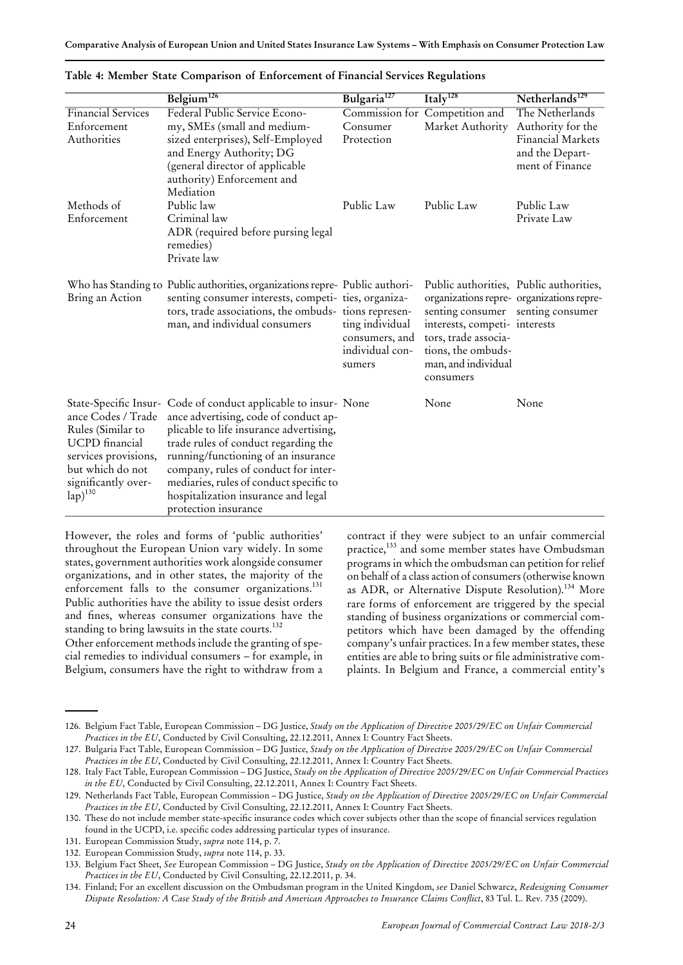|                                                                                                                                                            | Belgium <sup>126</sup>                                                                                                                                                                                                                                                                                                                                                               | Bulgaria <sup>127</sup>                                        | Italy <sup>128</sup>                                                                                                                                                                            | Netherlands <sup>129</sup>                                     |
|------------------------------------------------------------------------------------------------------------------------------------------------------------|--------------------------------------------------------------------------------------------------------------------------------------------------------------------------------------------------------------------------------------------------------------------------------------------------------------------------------------------------------------------------------------|----------------------------------------------------------------|-------------------------------------------------------------------------------------------------------------------------------------------------------------------------------------------------|----------------------------------------------------------------|
| <b>Financial Services</b>                                                                                                                                  | Federal Public Service Econo-                                                                                                                                                                                                                                                                                                                                                        | Commission for                                                 | Competition and                                                                                                                                                                                 | The Netherlands                                                |
| Enforcement                                                                                                                                                | my, SMEs (small and medium-                                                                                                                                                                                                                                                                                                                                                          | Consumer                                                       | Market Authority                                                                                                                                                                                | Authority for the                                              |
| Authorities                                                                                                                                                | sized enterprises), Self-Employed<br>and Energy Authority; DG<br>(general director of applicable<br>authority) Enforcement and<br>Mediation                                                                                                                                                                                                                                          | Protection                                                     |                                                                                                                                                                                                 | <b>Financial Markets</b><br>and the Depart-<br>ment of Finance |
| Methods of                                                                                                                                                 | Public law                                                                                                                                                                                                                                                                                                                                                                           | Public Law                                                     | Public Law                                                                                                                                                                                      | Public Law                                                     |
| Enforcement                                                                                                                                                | Criminal law<br>ADR (required before pursing legal<br>remedies)<br>Private law                                                                                                                                                                                                                                                                                                       |                                                                |                                                                                                                                                                                                 | Private Law                                                    |
| Bring an Action                                                                                                                                            | Who has Standing to Public authorities, organizations repre- Public authori-<br>senting consumer interests, competi- ties, organiza-<br>tors, trade associations, the ombuds- tions represen-<br>man, and individual consumers                                                                                                                                                       | ting individual<br>consumers, and<br>individual con-<br>sumers | Public authorities, Public authorities,<br>senting consumer senting consumer<br>interests, competi- interests<br>tors, trade associa-<br>tions, the ombuds-<br>man, and individual<br>consumers | organizations repre- organizations repre-                      |
| ance Codes / Trade<br>Rules (Similar to<br><b>UCPD</b> financial<br>services provisions,<br>but which do not<br>significantly over-<br>$\text{lap})^{130}$ | State-Specific Insur- Code of conduct applicable to insur- None<br>ance advertising, code of conduct ap-<br>plicable to life insurance advertising,<br>trade rules of conduct regarding the<br>running/functioning of an insurance<br>company, rules of conduct for inter-<br>mediaries, rules of conduct specific to<br>hospitalization insurance and legal<br>protection insurance |                                                                | None                                                                                                                                                                                            | None                                                           |

|  |  |  |  | Table 4: Member State Comparison of Enforcement of Financial Services Regulations |  |  |  |  |
|--|--|--|--|-----------------------------------------------------------------------------------|--|--|--|--|
|  |  |  |  |                                                                                   |  |  |  |  |

However, the roles and forms of 'public authorities' throughout the European Union vary widely. In some states, government authorities work alongside consumer organizations, and in other states, the majority of the enforcement falls to the consumer organizations.<sup>131</sup> Public authorities have the ability to issue desist orders and fnes, whereas consumer organizations have the standing to bring lawsuits in the state courts.<sup>132</sup>

Other enforcement methods include the granting of special remedies to individual consumers - for example, in Belgium, consumers have the right to withdraw from a contract if they were subject to an unfair commercial practice,<sup>133</sup> and some member states have Ombudsman programsin which the ombudsman can petition forrelief on behalf of a class action of consumers(otherwise known as ADR, or Alternative Dispute Resolution).<sup>134</sup> More rare forms of enforcement are triggered by the special standing of business organizations or commercial competitors which have been damaged by the offending company's unfair practices. In a few member states, these entities are able to bring suits or fle administrative complaints. In Belgium and France, a commercial entity's

Belgium Fact Table, European Commission –DG Justice, *Study on the Application of Directive 2005/29/EC on Unfair Commercial* 126. *Practices in the EU*, Conducted by Civil Consulting, 22.12.2011, Annex I: Country Fact Sheets.

Bulgaria Fact Table, European Commission –DG Justice, *Study on the Application of Directive 2005/29/EC on Unfair Commercial* 127. *Practices in the EU*, Conducted by Civil Consulting, 22.12.2011, Annex I: Country Fact Sheets.

<sup>128.</sup> Italy Fact Table, European Commission – DG Justice, *Study on the Application of Directive* 2005/29/EC on Unfair Commercial Practices *in the EU*, Conducted by Civil Consulting, 22.12.2011, Annex I: Country Fact Sheets.

Netherlands Fact Table, European Commission –DG Justice, *Study on the Application of Directive 2005/29/EC on Unfair Commercial* 129. *Practices in the EU*, Conducted by Civil Consulting, 22.12.2011, Annex I: Country Fact Sheets.

These do not include member state-specifc insurance codes which cover subjects other than the scope of fnancial services regulation 130. found in the UCPD, i.e. specifc codes addressing particular types of insurance.

<sup>131.</sup> European Commission Study, *supra* note 114, p. 7.

<sup>132.</sup> European Commission Study, *supra* note 114, p. 33.

Belgium Fact Sheet, *See* European Commission –DG Justice, *Study on the Application of Directive 2005/29/EC on Unfair Commercial* 133. *Practices in the EU*, Conducted by Civil Consulting, 22.12.2011, p. 34.

Finland; For an excellent discussion on the Ombudsman program in the United Kingdom, *see* Daniel Schwarcz, *Redesigning Consumer* 134. Dispute Resolution: A Case Study of the British and American Approaches to Insurance Claims Conflict, 83 Tul. L. Rev. 735 (2009).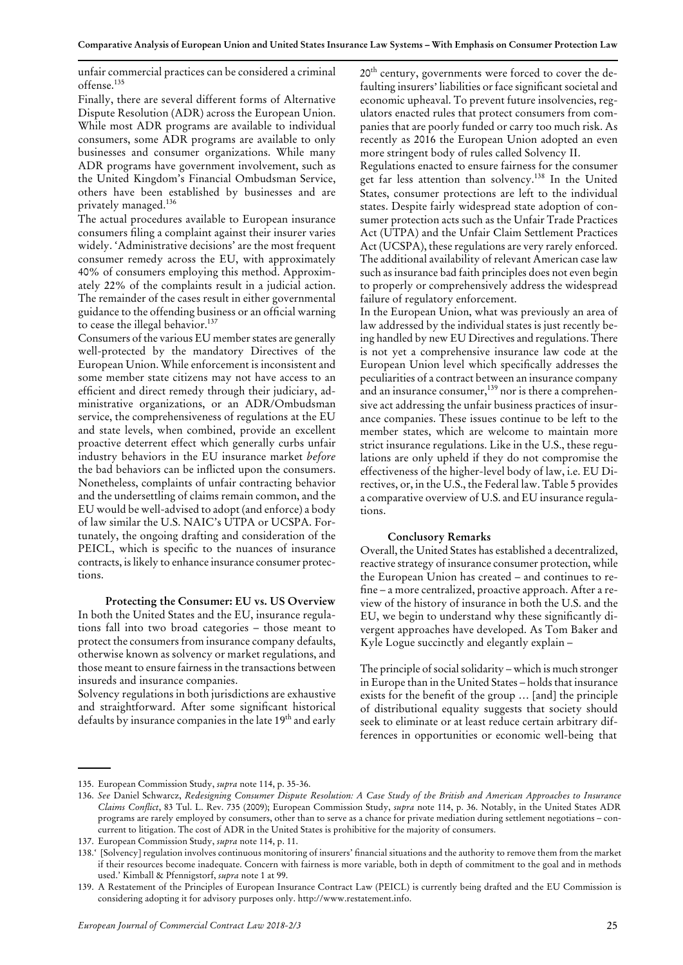Comparative Analysis of European Union and United States Insurance Law Systems - With Emphasis on Consumer Protection Law

unfair commercial practices can be considered a criminal offense.135

Finally, there are several different forms of Alternative Dispute Resolution (ADR) across the European Union. While most ADR programs are available to individual consumers, some ADR programs are available to only businesses and consumer organizations. While many ADR programs have government involvement, such as the United Kingdom's Financial Ombudsman Service, others have been established by businesses and are privately managed.<sup>136</sup>

The actual procedures available to European insurance consumers fling a complaint against their insurer varies widely. 'Administrative decisions' are the most frequent consumer remedy across the EU, with approximately 40% of consumers employing this method. Approximately 22% of the complaints result in a judicial action. The remainder of the cases result in either governmental guidance to the offending business or an offcial warning to cease the illegal behavior.<sup>137</sup>

Consumers of the various EU member states are generally well-protected by the mandatory Directives of the European Union. While enforcement is inconsistent and some member state citizens may not have access to an effcient and direct remedy through their judiciary, administrative organizations, or an ADR/Ombudsman service, the comprehensiveness of regulations at the EU and state levels, when combined, provide an excellent proactive deterrent effect which generally curbs unfair industry behaviors in the EU insurance market *before* the bad behaviors can be inficted upon the consumers. Nonetheless, complaints of unfair contracting behavior and the undersettling of claims remain common, and the EU would be well-advised to adopt (and enforce) a body of law similar the U.S. NAIC's UTPA or UCSPA. Fortunately, the ongoing drafting and consideration of the PEICL, which is specifc to the nuances of insurance contracts, islikely to enhance insurance consumer protections.

**Protecting the Consumer: EU vs. US Overview** In both the United States and the EU, insurance regulations fall into two broad categories - those meant to protect the consumers from insurance company defaults, otherwise known as solvency or market regulations, and those meant to ensure fairnessin the transactions between insureds and insurance companies.

Solvency regulations in both jurisdictions are exhaustive and straightforward. After some signifcant historical defaults by insurance companies in the late 19<sup>th</sup> and early 20<sup>th</sup> century, governments were forced to cover the defaulting insurers' liabilities or face significant societal and economic upheaval. To prevent future insolvencies, regulators enacted rules that protect consumers from companies that are poorly funded or carry too much risk. As recently as 2016 the European Union adopted an even more stringent body of rules called Solvency II.

Regulations enacted to ensure fairness for the consumer get far less attention than solvency.138 In the United States, consumer protections are left to the individual states. Despite fairly widespread state adoption of consumer protection acts such as the Unfair Trade Practices Act (UTPA) and the Unfair Claim Settlement Practices Act (UCSPA), these regulations are very rarely enforced. The additional availability of relevant American case law such as insurance bad faith principles does not even begin to properly or comprehensively address the widespread failure of regulatory enforcement.

In the European Union, what was previously an area of law addressed by the individual states is just recently being handled by new EU Directives and regulations. There is not yet a comprehensive insurance law code at the European Union level which specifcally addresses the peculiarities of a contract between an insurance company and an insurance consumer,<sup>139</sup> nor is there a comprehensive act addressing the unfair business practices of insurance companies. These issues continue to be left to the member states, which are welcome to maintain more strict insurance regulations. Like in the U.S., these regulations are only upheld if they do not compromise the effectiveness of the higher-level body of law, i.e. EU Directives, or, in the U.S., the Federal law. Table 5 provides a comparative overview of U.S. and EU insurance regulations.

# **Conclusory Remarks**

Overall, the United States has established a decentralized, reactive strategy of insurance consumer protection, while the European Union has created – and continues to refne –a more centralized, proactive approach. After a review of the history of insurance in both the U.S. and the EU, we begin to understand why these signifcantly divergent approaches have developed. As Tom Baker and Kyle Logue succinctly and elegantly explain –

The principle of social solidarity – which is much stronger in Europe than in the United States - holds that insurance exists for the beneft of the group … [and] the principle of distributional equality suggests that society should seek to eliminate or at least reduce certain arbitrary differences in opportunities or economic well-being that

<sup>135.</sup> European Commission Study, *supra* note 114, p. 35-36.

<sup>136.</sup> See Daniel Schwarcz, Redesigning Consumer Dispute Resolution: A Case Study of the British and American Approaches to Insurance *Claims Confict*, 83 Tul. L. Rev. 735 (2009); European Commission Study, *supra* note 114, p. 36. Notably, in the United States ADR programs are rarely employed by consumers, other than to serve as a chance for private mediation during settlement negotiations - concurrent to litigation. The cost of ADR in the United States is prohibitive for the majority of consumers.

<sup>137.</sup> European Commission Study, *supra* note 114, p. 11.

<sup>&#</sup>x27; [Solvency] regulation involves continuous monitoring of insurers' fnancial situations and the authority to remove them from the market 138. if their resources become inadequate. Concern with fairness is more variable, both in depth of commitment to the goal and in methods used.' Kimball & Pfennigstorf, *supra* note 1 at 99.

<sup>139.</sup> A Restatement of the Principles of European Insurance Contract Law (PEICL) is currently being drafted and the EU Commission is considering adopting it for advisory purposes only. http://www.restatement.info.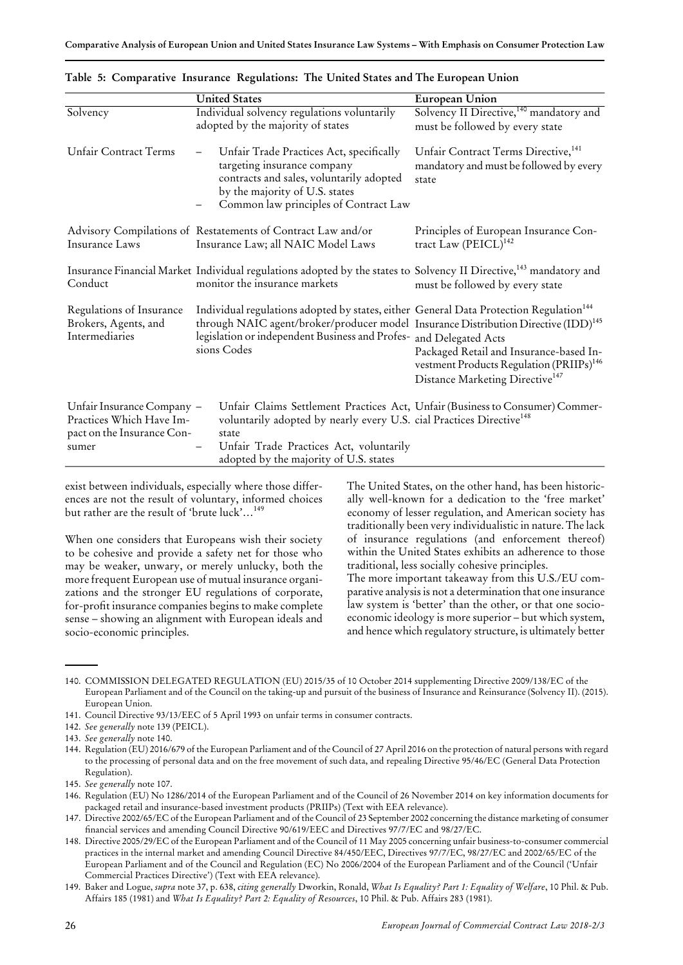|                                                                                               | <b>United States</b>                                                                                                                                                                                                                                                                      | European Union                                                                                                                                 |
|-----------------------------------------------------------------------------------------------|-------------------------------------------------------------------------------------------------------------------------------------------------------------------------------------------------------------------------------------------------------------------------------------------|------------------------------------------------------------------------------------------------------------------------------------------------|
| Solvency                                                                                      | Individual solvency regulations voluntarily<br>adopted by the majority of states                                                                                                                                                                                                          | Solvency II Directive, <sup>140</sup> mandatory and<br>must be followed by every state                                                         |
| Unfair Contract Terms                                                                         | Unfair Trade Practices Act, specifically<br>-<br>targeting insurance company<br>contracts and sales, voluntarily adopted<br>by the majority of U.S. states<br>Common law principles of Contract Law                                                                                       | Unfair Contract Terms Directive, <sup>141</sup><br>mandatory and must be followed by every<br>state                                            |
| Insurance Laws                                                                                | Advisory Compilations of Restatements of Contract Law and/or<br>Insurance Law; all NAIC Model Laws                                                                                                                                                                                        | Principles of European Insurance Con-<br>tract Law $(PEICL)^{142}$                                                                             |
| Conduct                                                                                       | Insurance Financial Market Individual regulations adopted by the states to Solvency II Directive, <sup>143</sup> mandatory and<br>monitor the insurance markets                                                                                                                           | must be followed by every state                                                                                                                |
| Regulations of Insurance<br>Brokers, Agents, and<br>Intermediaries                            | Individual regulations adopted by states, either General Data Protection Regulation <sup>144</sup><br>through NAIC agent/broker/producer model Insurance Distribution Directive (IDD) <sup>145</sup><br>legislation or independent Business and Profes- and Delegated Acts<br>sions Codes | Packaged Retail and Insurance-based In-<br>vestment Products Regulation (PRIIPs) <sup>146</sup><br>Distance Marketing Directive <sup>147</sup> |
| Unfair Insurance Company -<br>Practices Which Have Im-<br>pact on the Insurance Con-<br>sumer | Unfair Claims Settlement Practices Act, Unfair (Business to Consumer) Commer-<br>voluntarily adopted by nearly every U.S. cial Practices Directive <sup>148</sup><br>state<br>Unfair Trade Practices Act, voluntarily<br>adopted by the majority of U.S. states                           |                                                                                                                                                |

|  |  |  | Table 5: Comparative Insurance Regulations: The United States and The European Union |
|--|--|--|--------------------------------------------------------------------------------------|
|  |  |  |                                                                                      |

exist between individuals, especially where those differences are not the result of voluntary, informed choices but rather are the result of 'brute luck'…<sup>149</sup>

When one considers that Europeans wish their society to be cohesive and provide a safety net for those who may be weaker, unwary, or merely unlucky, both the more frequent European use of mutual insurance organizations and the stronger EU regulations of corporate, for-proft insurance companies begins to make complete sense – showing an alignment with European ideals and socio-economic principles.

The United States, on the other hand, has been historically well-known for a dedication to the 'free market' economy of lesser regulation, and American society has traditionally been very individualistic in nature. The lack of insurance regulations (and enforcement thereof) within the United States exhibits an adherence to those traditional, less socially cohesive principles.

The more important takeaway from this U.S./EU comparative analysisis not a determination that one insurance law system is 'better' than the other, or that one socioeconomic ideology is more superior - but which system, and hence which regulatory structure, is ultimately better

142. *See generally* note 139 (PEICL).

<sup>140.</sup> COMMISSION DELEGATED REGULATION (EU) 2015/35 of 10 October 2014 supplementing Directive 2009/138/EC of the European Parliament and of the Council on the taking-up and pursuit of the business of Insurance and Reinsurance (Solvency II). (2015). European Union.

<sup>141.</sup> Council Directive 93/13/EEC of 5 April 1993 on unfair terms in consumer contracts.

<sup>143.</sup> *See generally* note 140.

<sup>144.</sup> Regulation (EU) 2016/679 of the European Parliament and of the Council of 27 April 2016 on the protection of natural persons with regard to the processing of personal data and on the free movement of such data, and repealing Directive 95/46/EC (General Data Protection Regulation).

<sup>145.</sup> *See generally* note 107.

<sup>146.</sup> Regulation (EU) No 1286/2014 of the European Parliament and of the Council of 26 November 2014 on key information documents for packaged retail and insurance-based investment products (PRIIPs) (Text with EEA relevance).

<sup>147.</sup> Directive 2002/65/EC of the European Parliament and of the Council of 23 September 2002 concerning the distance marketing of consumer fnancial services and amending Council Directive 90/619/EEC and Directives 97/7/EC and 98/27/EC.

<sup>148.</sup> Directive 2005/29/EC of the European Parliament and of the Council of 11 May 2005 concerning unfair business-to-consumer commercial practices in the internal market and amending Council Directive 84/450/EEC, Directives 97/7/EC, 98/27/EC and 2002/65/EC of the European Parliament and of the Council and Regulation (EC) No 2006/2004 of the European Parliament and of the Council ('Unfair Commercial Practices Directive') (Text with EEA relevance).

Baker and Logue, *supra* note 37, p. 638, *citing generally* Dworkin, Ronald, *What Is Equality? Part 1: Equality of Welfare*, 10 Phil. & Pub. 149. Affairs 185 (1981) and *What Is Equality? Part 2: Equality of Resources*, 10 Phil. & Pub. Affairs 283 (1981).